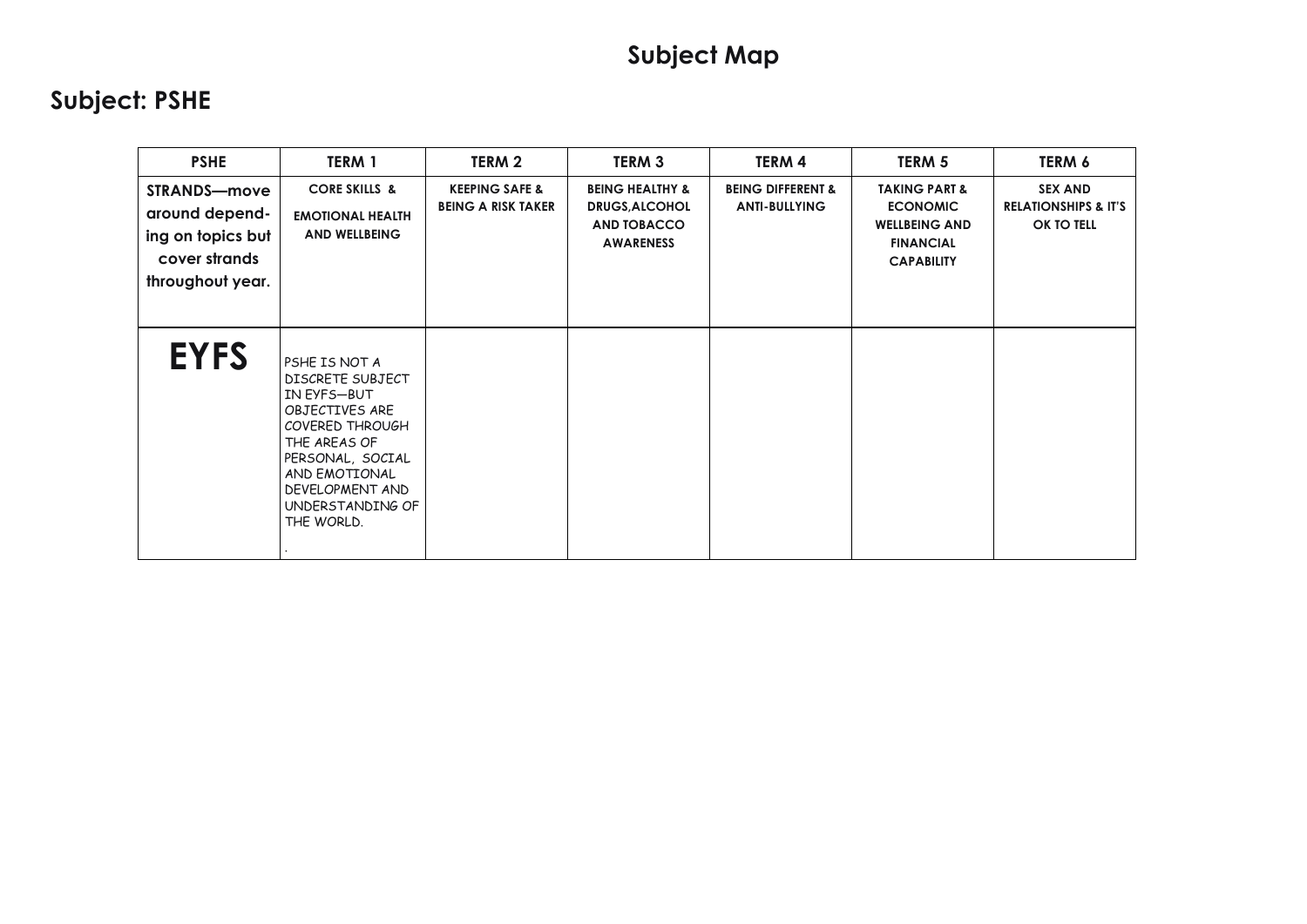| <b>PSHE</b>                                                                                     | <b>TERM 1</b>                                                                                                                                                                                   | TERM 2                                                 | TERM <sub>3</sub>                                                                             | TERM 4                                               | TERM 5                                                                                                       | TERM 6                                                          |
|-------------------------------------------------------------------------------------------------|-------------------------------------------------------------------------------------------------------------------------------------------------------------------------------------------------|--------------------------------------------------------|-----------------------------------------------------------------------------------------------|------------------------------------------------------|--------------------------------------------------------------------------------------------------------------|-----------------------------------------------------------------|
| <b>STRANDS-move</b><br>around depend-<br>ing on topics but<br>cover strands<br>throughout year. | <b>CORE SKILLS &amp;</b><br><b>EMOTIONAL HEALTH</b><br><b>AND WELLBEING</b>                                                                                                                     | <b>KEEPING SAFE &amp;</b><br><b>BEING A RISK TAKER</b> | <b>BEING HEALTHY &amp;</b><br><b>DRUGS, ALCOHOL</b><br><b>AND TOBACCO</b><br><b>AWARENESS</b> | <b>BEING DIFFERENT &amp;</b><br><b>ANTI-BULLYING</b> | <b>TAKING PART &amp;</b><br><b>ECONOMIC</b><br><b>WELLBEING AND</b><br><b>FINANCIAL</b><br><b>CAPABILITY</b> | <b>SEX AND</b><br><b>RELATIONSHIPS &amp; IT'S</b><br>OK TO TELL |
| <b>EYFS</b>                                                                                     | PSHE IS NOT A<br>DISCRETE SUBJECT<br>IN EYFS-BUT<br>OBJECTIVES ARE<br>COVERED THROUGH<br>THE AREAS OF<br>PERSONAL, SOCIAL<br>AND EMOTIONAL<br>DEVELOPMENT AND<br>UNDERSTANDING OF<br>THE WORLD. |                                                        |                                                                                               |                                                      |                                                                                                              |                                                                 |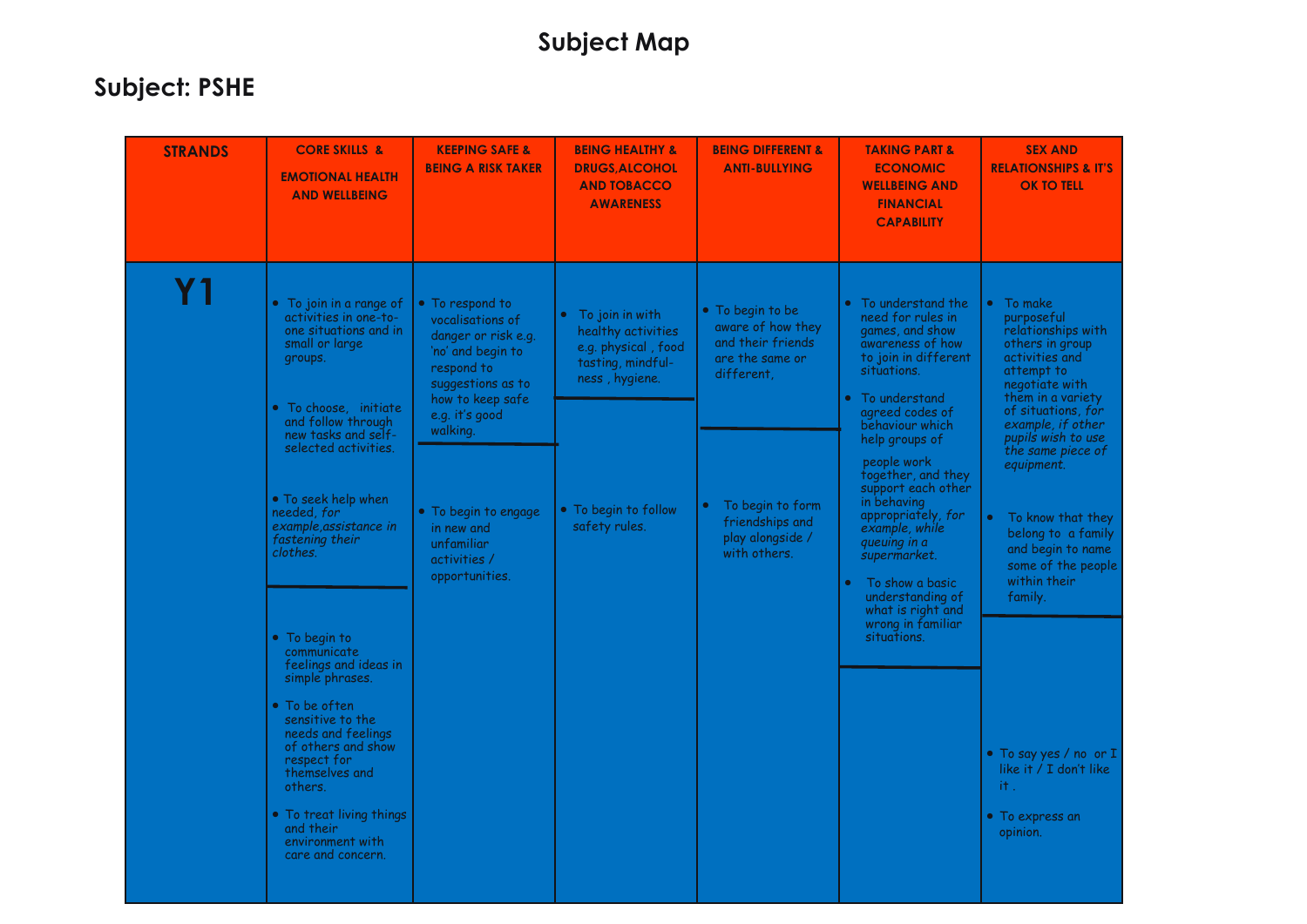| <b>STRANDS</b> | <b>CORE SKILLS &amp;</b><br><b>EMOTIONAL HEALTH</b><br><b>AND WELLBEING</b>                                                                                                                                                                                                                                                                                                                                                                                                                                                                                                                                            | <b>KEEPING SAFE &amp;</b><br><b>BEING A RISK TAKER</b>                                                                                                                                                                                                     | <b>BEING HEALTHY &amp;</b><br><b>DRUGS, ALCOHOL</b><br><b>AND TOBACCO</b><br><b>AWARENESS</b>                                                | <b>BEING DIFFERENT &amp;</b><br><b>ANTI-BULLYING</b>                                                                                                                                | <b>TAKING PART &amp;</b><br><b>ECONOMIC</b><br><b>WELLBEING AND</b><br><b>FINANCIAL</b><br><b>CAPABILITY</b>                                                                                                                                                                                                                                                                                                                                    | <b>SEX AND</b><br><b>RELATIONSHIPS &amp; IT'S</b><br><b>OK TO TELL</b>                                                                                                                                                                                                                                                                                                                                                                                              |
|----------------|------------------------------------------------------------------------------------------------------------------------------------------------------------------------------------------------------------------------------------------------------------------------------------------------------------------------------------------------------------------------------------------------------------------------------------------------------------------------------------------------------------------------------------------------------------------------------------------------------------------------|------------------------------------------------------------------------------------------------------------------------------------------------------------------------------------------------------------------------------------------------------------|----------------------------------------------------------------------------------------------------------------------------------------------|-------------------------------------------------------------------------------------------------------------------------------------------------------------------------------------|-------------------------------------------------------------------------------------------------------------------------------------------------------------------------------------------------------------------------------------------------------------------------------------------------------------------------------------------------------------------------------------------------------------------------------------------------|---------------------------------------------------------------------------------------------------------------------------------------------------------------------------------------------------------------------------------------------------------------------------------------------------------------------------------------------------------------------------------------------------------------------------------------------------------------------|
| Υ1             | • To join in a range of<br>activities in one-to-<br>one situations and in<br>small or large<br>groups.<br>$\bullet$ To choose, initiate<br>and follow through<br>new tasks and self-<br>selected activities.<br>• To seek help when<br>needed, for<br>example, assistance in<br>fastening their<br>clothes.<br>$\bullet$ To begin to<br>communicate<br>feelings and ideas in<br>simple phrases.<br>$\bullet$ To be often<br>sensitive to the<br>needs and feelings<br>of others and show<br>respect for<br>themselves and<br>others.<br>• To treat living things<br>and their<br>environment with<br>care and concern. | • To respond to<br>vocalisations of<br>danger or risk e.g.<br>'no' and begin to<br>respond to<br>suggestions as to<br>how to keep safe<br>e.g. it's good<br>walking.<br>• To begin to engage<br>in new and<br>unfamiliar<br>activities /<br>opportunities. | To join in with<br>healthy activities<br>e.g. physical, food<br>tasting, mindful-<br>ness, hygiene.<br>• To begin to follow<br>safety rules. | • To begin to be<br>aware of how they<br>and their friends<br>are the same or<br>different,<br>To begin to form<br>$\bullet$<br>friendships and<br>play alongside /<br>with others. | To understand the<br>need for rules in<br>games, and show<br>awareness of how<br>to join in different<br>situations.<br>To understand<br>agreed codes of<br>behaviour which<br>help groups of<br>people work<br>together, and they<br>support each other<br>in behaving<br>appropriately, for<br>example, while<br>queuing in a<br>supermarket.<br>To show a basic<br>understanding of<br>what is right and<br>wrong in familiar<br>situations. | • To make<br>purposeful<br>relationships with<br>others in group<br>activities and<br>attempt to<br>negotiate with<br>them in a variety<br>of situations, for<br>example, if other<br>pupils wish to use<br>the same piece of<br>equipment.<br>To know that they<br>$\bullet$<br>belong to a family<br>and begin to name<br>some of the people<br>within their<br>family.<br>• To say yes / no or I<br>like it / I don't like<br>it.<br>• To express an<br>opinion. |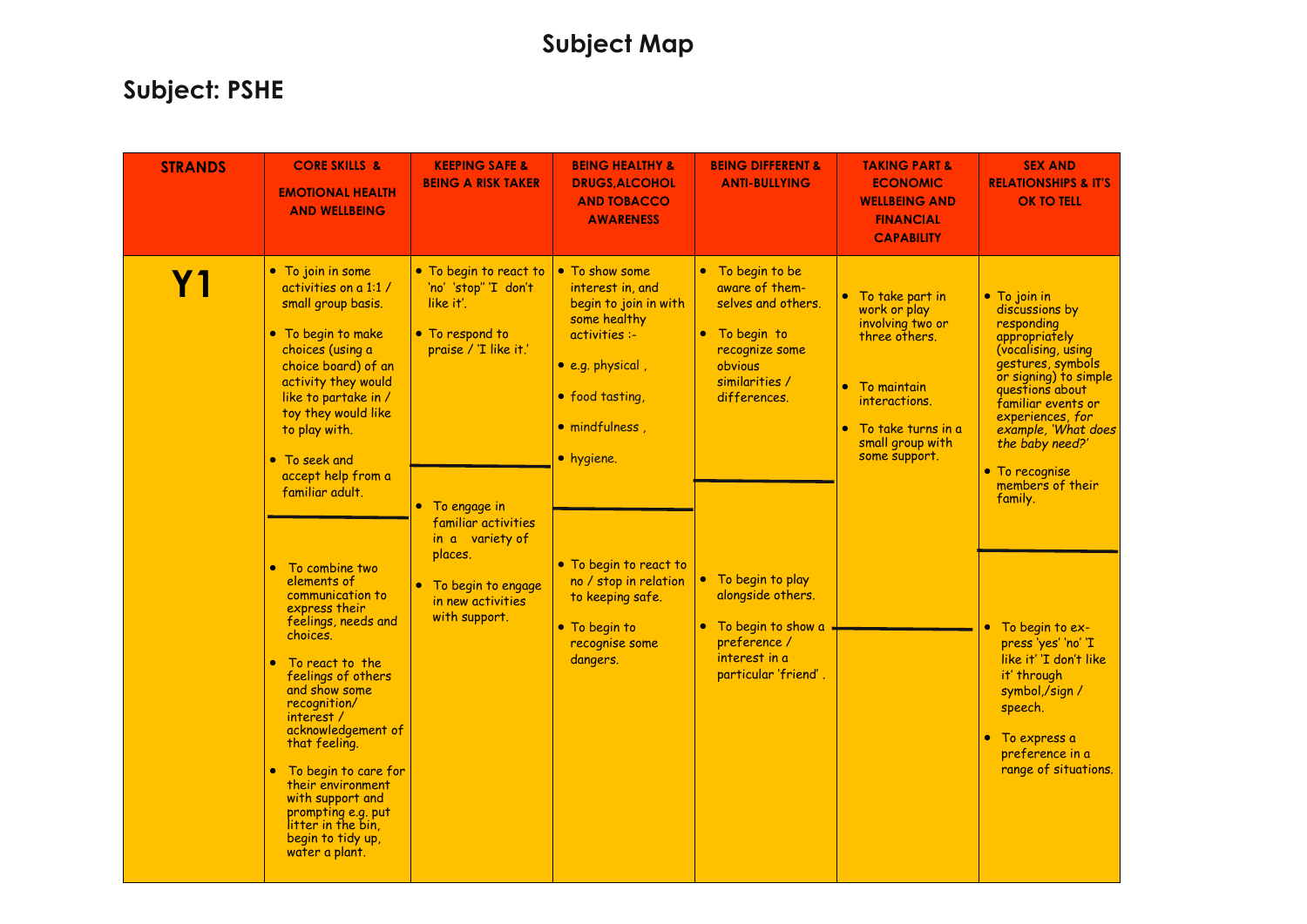| <b>STRANDS</b> | <b>CORE SKILLS &amp;</b><br><b>EMOTIONAL HEALTH</b><br><b>AND WELLBEING</b>                                                                                                                                                                                                                                                                                                                              | <b>KEEPING SAFE &amp;</b><br><b>BEING A RISK TAKER</b>                                                                                                                                                                                       | <b>BEING HEALTHY &amp;</b><br><b>DRUGS, ALCOHOL</b><br><b>AND TOBACCO</b><br><b>AWARENESS</b>                                                                                                                                                                                 | <b>BEING DIFFERENT &amp;</b><br><b>ANTI-BULLYING</b>                                                                                                                                                                        | <b>TAKING PART &amp;</b><br><b>ECONOMIC</b><br><b>WELLBEING AND</b><br><b>FINANCIAL</b><br><b>CAPABILITY</b>                                                      | <b>SEX AND</b><br><b>RELATIONSHIPS &amp; IT'S</b><br><b>OK TO TELL</b>                                                                                                                                                                                                                                                                      |
|----------------|----------------------------------------------------------------------------------------------------------------------------------------------------------------------------------------------------------------------------------------------------------------------------------------------------------------------------------------------------------------------------------------------------------|----------------------------------------------------------------------------------------------------------------------------------------------------------------------------------------------------------------------------------------------|-------------------------------------------------------------------------------------------------------------------------------------------------------------------------------------------------------------------------------------------------------------------------------|-----------------------------------------------------------------------------------------------------------------------------------------------------------------------------------------------------------------------------|-------------------------------------------------------------------------------------------------------------------------------------------------------------------|---------------------------------------------------------------------------------------------------------------------------------------------------------------------------------------------------------------------------------------------------------------------------------------------------------------------------------------------|
| Υ1             | • To join in some<br>activities on a 1:1 /<br>small group basis.<br>• To begin to make<br>choices (using a<br>choice board) of an<br>activity they would<br>like to partake in /<br>toy they would like<br>to play with.<br>• To seek and<br>accept help from a<br>familiar adult.<br>To combine two<br>$\bullet$<br>elements of<br>communication to<br>express their<br>feelings, needs and<br>choices. | • To begin to react to<br>'no' 'stop" 'I don't<br>like it'.<br>• To respond to<br>praise / 'I like it.'<br>• To engage in<br>familiar activities<br>in a variety of<br>places.<br>• To begin to engage<br>in new activities<br>with support. | • To show some<br>interest in, and<br>begin to join in with<br>some healthy<br>activities :-<br>• e.g. physical,<br>• food tasting,<br>· mindfulness,<br>• hygiene.<br>• To begin to react to<br>no / stop in relation<br>to keeping safe.<br>• To begin to<br>recognise some | • To begin to be<br>aware of them-<br>selves and others.<br>• To begin to<br>recognize some<br>obvious<br>similarities /<br>differences.<br>• To begin to play<br>alongside others.<br>• To begin to show a<br>preference / | • To take part in<br>work or play<br>involving two or<br>three others.<br>To maintain<br>interactions.<br>To take turns in a<br>small group with<br>some support. | $\bullet$ To join in<br>discussions by<br>responding<br>appropriately<br>(vocalising, using<br>gestures, symbols<br>or signing) to simple<br>questions about<br>familiar events or<br>experiences, for<br>example, 'What does<br>the baby need?'<br>• To recognise<br>members of their<br>family.<br>To begin to ex-<br>press 'yes' 'no' 'I |
|                | To react to the<br>$\bullet$<br>feelings of others<br>and show some<br>recognition/<br>interest /<br>acknowledgement of<br>that feeling.<br>To begin to care for<br>$\bullet$<br>their environment<br>with support and<br>prompting e.g. put<br>litter in the bin,<br>begin to tidy up,<br>water a plant.                                                                                                |                                                                                                                                                                                                                                              | dangers.                                                                                                                                                                                                                                                                      | interest in a<br>particular 'friend'.                                                                                                                                                                                       |                                                                                                                                                                   | like it' 'I don't like<br>it' through<br>symbol,/sign /<br>speech.<br>$\bullet$ To express a<br>preference in a<br>range of situations.                                                                                                                                                                                                     |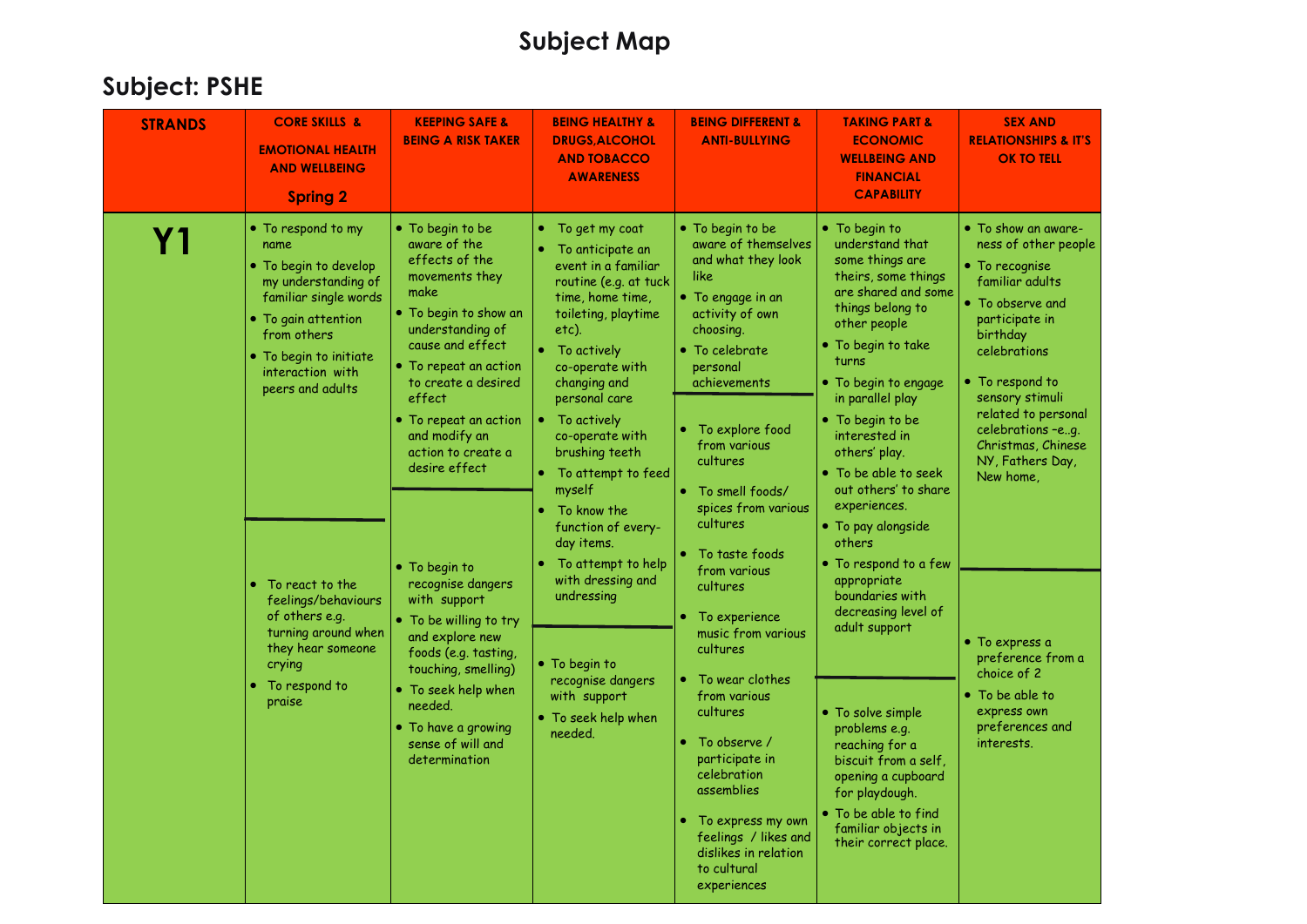| <b>CORE SKILLS &amp;</b><br><b>STRANDS</b><br><b>EMOTIONAL HEALTH</b><br><b>AND WELLBEING</b><br><b>Spring 2</b>                                                                                                                                                                                                                                               | <b>KEEPING SAFE &amp;</b><br><b>BEING A RISK TAKER</b>                                                                                                                                                                                                                                                                                                                                                                                                                                                                                                    | <b>BEING HEALTHY &amp;</b><br><b>DRUGS, ALCOHOL</b><br><b>AND TOBACCO</b><br><b>AWARENESS</b>                                                                                                                                                                                                                                                                                                                                                                                                                   | <b>BEING DIFFERENT &amp;</b><br><b>ANTI-BULLYING</b>                                                                                                                                                                                                                                                                                                                                                                                                                                                                                                                                            | <b>TAKING PART &amp;</b><br><b>ECONOMIC</b><br><b>WELLBEING AND</b><br><b>FINANCIAL</b><br><b>CAPABILITY</b>                                                                                                                                                                                                                                                                                                                                                                                                                                                                                                                                                                                     | <b>SEX AND</b><br><b>RELATIONSHIPS &amp; IT'S</b><br><b>OK TO TELL</b>                                                                                                                                                                                                                                                                                                                                                       |
|----------------------------------------------------------------------------------------------------------------------------------------------------------------------------------------------------------------------------------------------------------------------------------------------------------------------------------------------------------------|-----------------------------------------------------------------------------------------------------------------------------------------------------------------------------------------------------------------------------------------------------------------------------------------------------------------------------------------------------------------------------------------------------------------------------------------------------------------------------------------------------------------------------------------------------------|-----------------------------------------------------------------------------------------------------------------------------------------------------------------------------------------------------------------------------------------------------------------------------------------------------------------------------------------------------------------------------------------------------------------------------------------------------------------------------------------------------------------|-------------------------------------------------------------------------------------------------------------------------------------------------------------------------------------------------------------------------------------------------------------------------------------------------------------------------------------------------------------------------------------------------------------------------------------------------------------------------------------------------------------------------------------------------------------------------------------------------|--------------------------------------------------------------------------------------------------------------------------------------------------------------------------------------------------------------------------------------------------------------------------------------------------------------------------------------------------------------------------------------------------------------------------------------------------------------------------------------------------------------------------------------------------------------------------------------------------------------------------------------------------------------------------------------------------|------------------------------------------------------------------------------------------------------------------------------------------------------------------------------------------------------------------------------------------------------------------------------------------------------------------------------------------------------------------------------------------------------------------------------|
| • To respond to my<br>Υ1<br>name<br>• To begin to develop<br>my understanding of<br>familiar single words<br>• To gain attention<br>from others<br>• To begin to initiate<br>interaction with<br>peers and adults<br>To react to the<br>feelings/behaviours<br>of others e.g.<br>turning around when<br>they hear someone<br>crying<br>To respond to<br>praise | • To begin to be<br>aware of the<br>effects of the<br>movements they<br>make<br>• To begin to show an<br>understanding of<br>cause and effect<br>• To repeat an action<br>to create a desired<br>effect<br>$\bullet$ To repeat an action<br>and modify an<br>action to create a<br>desire effect<br>• To begin to<br>recognise dangers<br>with support<br>• To be willing to try<br>and explore new<br>foods (e.g. tasting,<br>touching, smelling)<br>$\bullet$ To seek help when<br>needed.<br>• To have a growing<br>sense of will and<br>determination | • To get my coat<br>To anticipate an<br>event in a familiar<br>routine (e.g. at tuck<br>time, home time,<br>toileting, playtime<br>etc).<br>To actively<br>co-operate with<br>changing and<br>personal care<br>• To actively<br>co-operate with<br>brushing teeth<br>• To attempt to feed<br>myself<br>To know the<br>function of every-<br>day items.<br>To attempt to help<br>with dressing and<br>undressing<br>• To begin to<br>recognise dangers<br>with support<br>$\bullet$ To seek help when<br>needed. | • To begin to be<br>aware of themselves<br>and what they look<br>like<br>• To engage in an<br>activity of own<br>choosing.<br>• To celebrate<br>personal<br>achievements<br>To explore food<br>from various<br>cultures<br>To smell foods/<br>spices from various<br>cultures<br>To taste foods<br>from various<br>cultures<br>To experience<br>music from various<br>cultures<br>To wear clothes<br>from various<br>cultures<br>To observe /<br>participate in<br>celebration<br>assemblies<br>To express my own<br>feelings / likes and<br>dislikes in relation<br>to cultural<br>experiences | • To begin to<br>understand that<br>some things are<br>theirs, some things<br>are shared and some<br>things belong to<br>other people<br>. To begin to take<br>turns<br>$\bullet$ To begin to engage<br>in parallel play<br>• To begin to be<br>interested in<br>others' play.<br>$\bullet$ To be able to seek<br>out others' to share<br>experiences.<br>• To pay alongside<br>others<br>$\bullet$ To respond to a few<br>appropriate<br>boundaries with<br>decreasing level of<br>adult support<br>• To solve simple<br>problems e.g.<br>reaching for a<br>biscuit from a self.<br>opening a cupboard<br>for playdough.<br>• To be able to find<br>familiar objects in<br>their correct place. | • To show an aware-<br>ness of other people<br>• To recognise<br>familiar adults<br>• To observe and<br>participate in<br>birthday<br>celebrations<br>• To respond to<br>sensory stimuli<br>related to personal<br>celebrations -eg.<br>Christmas, Chinese<br>NY, Fathers Day,<br>New home,<br>$\bullet$ To express a<br>preference from a<br>choice of 2<br>• To be able to<br>express own<br>preferences and<br>interests. |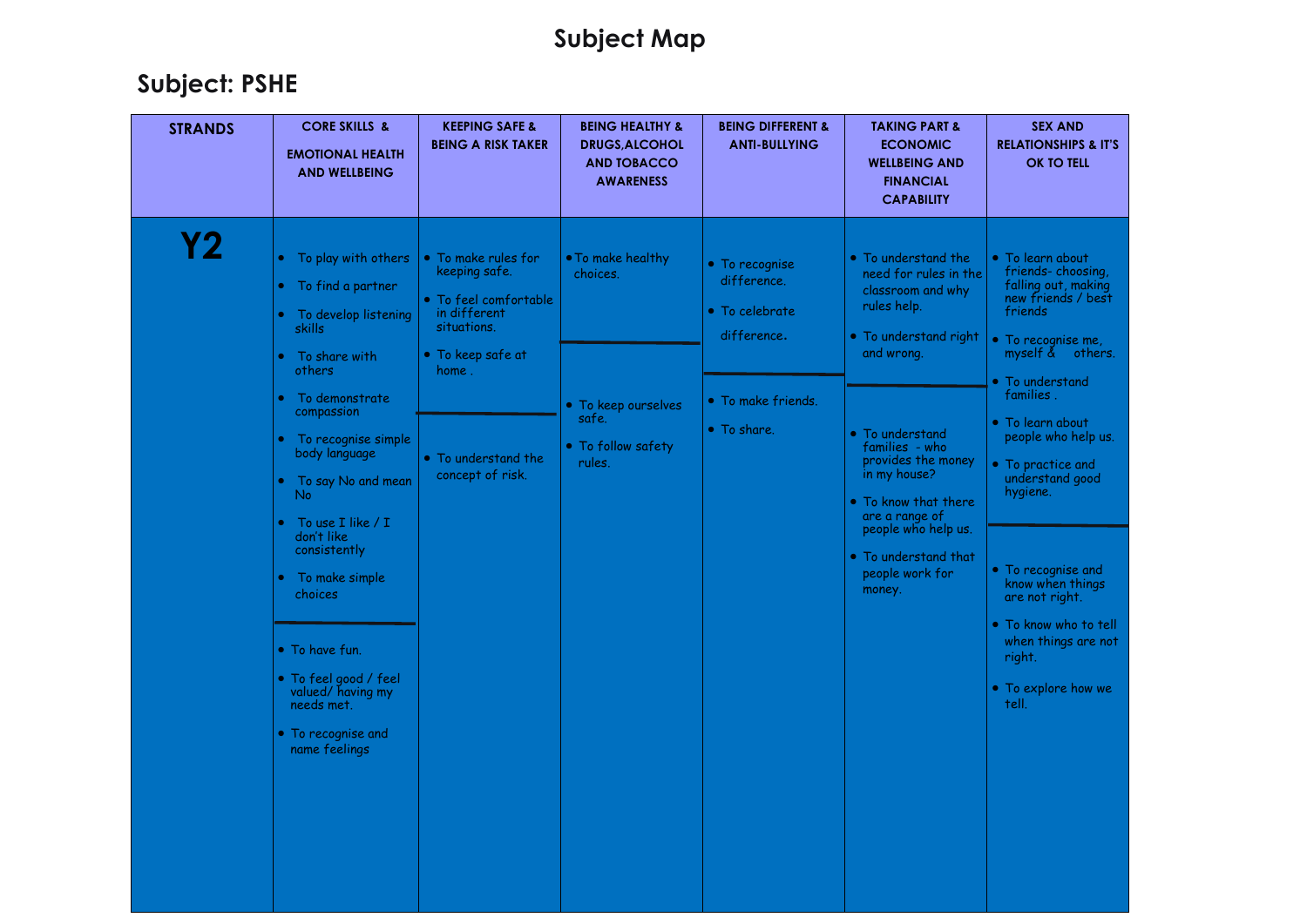|                                                                                                                                                                                                                                                                                                                                                                                                                                                                                                                                                                                                                                                                                                                                                                                                                                                                                                                                                                                                                                                                                                                                                                                                                                                                                                                                                                                       | <b>STRANDS</b> | <b>CORE SKILLS &amp;</b><br><b>KEEPING SAFE &amp;</b><br><b>BEING A RISK TAKER</b><br><b>EMOTIONAL HEALTH</b><br><b>AND WELLBEING</b> | <b>BEING HEALTHY &amp;</b><br><b>DRUGS, ALCOHOL</b><br><b>AND TOBACCO</b><br><b>AWARENESS</b> | <b>BEING DIFFERENT &amp;</b><br><b>ANTI-BULLYING</b> | <b>TAKING PART &amp;</b><br><b>ECONOMIC</b><br><b>WELLBEING AND</b><br><b>FINANCIAL</b><br><b>CAPABILITY</b> | <b>SEX AND</b><br><b>RELATIONSHIPS &amp; IT'S</b><br><b>OK TO TELL</b>                                                                                                                      |
|---------------------------------------------------------------------------------------------------------------------------------------------------------------------------------------------------------------------------------------------------------------------------------------------------------------------------------------------------------------------------------------------------------------------------------------------------------------------------------------------------------------------------------------------------------------------------------------------------------------------------------------------------------------------------------------------------------------------------------------------------------------------------------------------------------------------------------------------------------------------------------------------------------------------------------------------------------------------------------------------------------------------------------------------------------------------------------------------------------------------------------------------------------------------------------------------------------------------------------------------------------------------------------------------------------------------------------------------------------------------------------------|----------------|---------------------------------------------------------------------------------------------------------------------------------------|-----------------------------------------------------------------------------------------------|------------------------------------------------------|--------------------------------------------------------------------------------------------------------------|---------------------------------------------------------------------------------------------------------------------------------------------------------------------------------------------|
| • To play with others<br>• To make rules for<br>. To make healthy<br>• To understand the<br>· To learn about<br>• To recognise<br>keeping safe.<br>need for rules in the<br>choices.<br>difference.<br>• To find a partner<br>classroom and why<br>• To feel comfortable<br>rules help.<br>• To celebrate<br>friends<br>in different<br>To develop listening<br>situations.<br>skills<br>difference.<br>• To understand right<br>• To recognise me,<br>and wrong.<br>$\bullet$ To keep safe at<br>To share with<br>others<br>home .<br>• To understand<br>families.<br>To demonstrate<br>• To make friends.<br>• To keep ourselves<br>compassion<br>safe.<br>• To learn about<br>• To share.<br>• To understand<br>To recognise simple<br>• To follow safety<br>families - who<br>body language<br>• To understand the<br>provides the money<br>rules.<br>• To practice and<br>understand good<br>in my house?<br>concept of risk.<br>To say No and mean<br>hygiene.<br>No.<br>• To know that there<br>are a range of<br>To use I like / I<br>people who help us.<br>don't like<br>consistently<br>• To understand that<br>• To recognise and<br>people work for<br>To make simple<br>know when things<br>money.<br>choices<br>are not right.<br>• To have fun.<br>right.<br>• To feel good / feel<br>valued/ having my<br>tell.<br>needs met.<br>• To recognise and<br>name feelings | <u>Y2</u>      |                                                                                                                                       |                                                                                               |                                                      |                                                                                                              | friends-choosing,<br>falling out, making<br>new friends / best<br>myself $\tilde{\&}$ others.<br>people who help us.<br>• To know who to tell<br>when things are not<br>• To explore how we |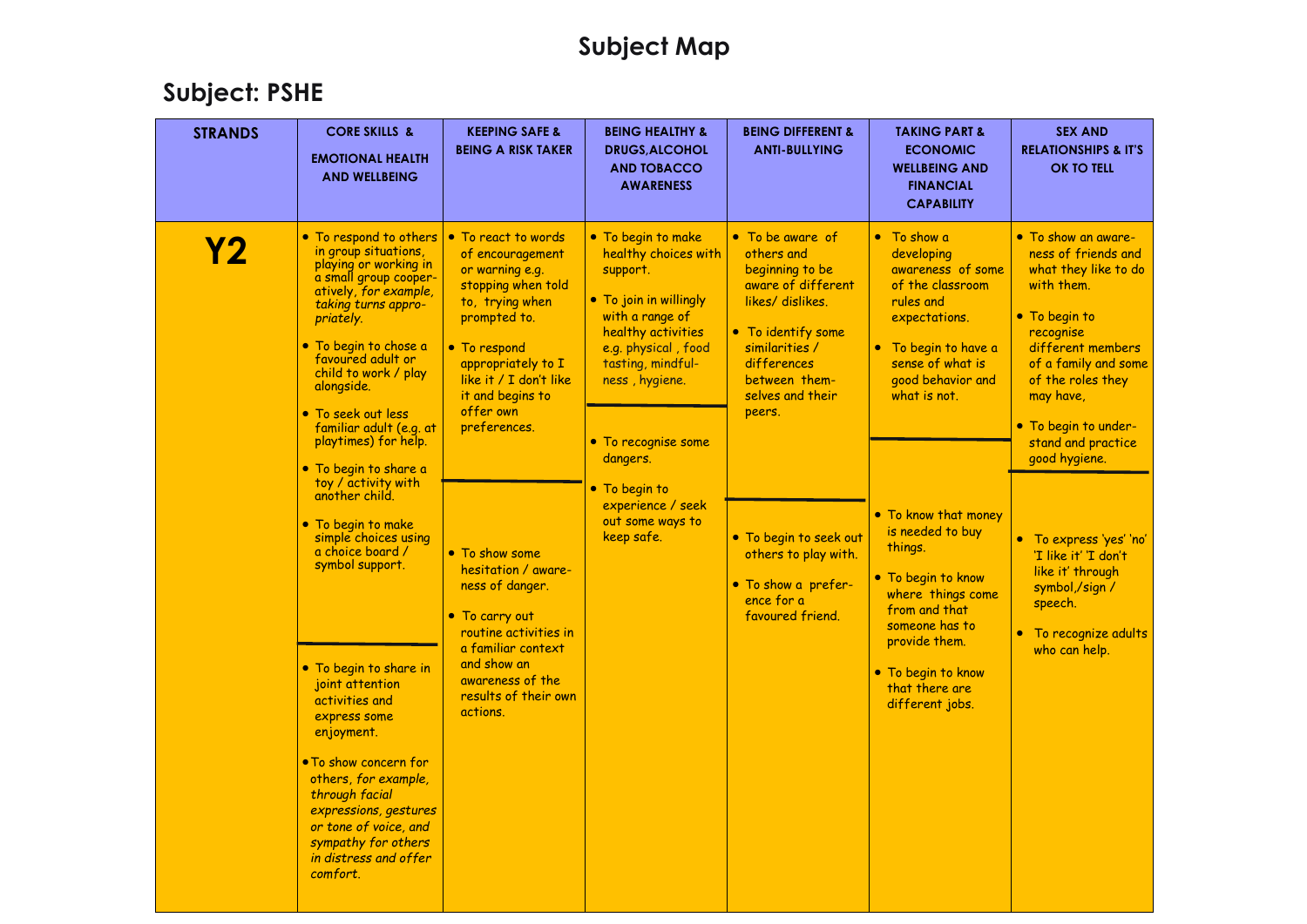| <b>STRANDS</b> | <b>CORE SKILLS &amp;</b><br><b>EMOTIONAL HEALTH</b><br><b>AND WELLBEING</b>                                                                                                                                                                                                                                                                                                                                                                                                                                                                                                                                                                                                                                                                                     | <b>KEEPING SAFE &amp;</b><br><b>BEING A RISK TAKER</b>                                                                                                                                                                                                                                                                                                                                                                                   | <b>BEING HEALTHY &amp;</b><br><b>DRUGS, ALCOHOL</b><br><b>AND TOBACCO</b><br><b>AWARENESS</b>                                                                                                                                                                                                      | <b>BEING DIFFERENT &amp;</b><br><b>ANTI-BULLYING</b>                                                                                                                                                                                                                                                        | <b>TAKING PART &amp;</b><br><b>ECONOMIC</b><br><b>WELLBEING AND</b><br><b>FINANCIAL</b><br><b>CAPABILITY</b>                                                                                                                                                                                                                                                                                       | <b>SEX AND</b><br><b>RELATIONSHIPS &amp; IT'S</b><br><b>OK TO TELL</b>                                                                                                                                                                                                                                                                                                                                   |
|----------------|-----------------------------------------------------------------------------------------------------------------------------------------------------------------------------------------------------------------------------------------------------------------------------------------------------------------------------------------------------------------------------------------------------------------------------------------------------------------------------------------------------------------------------------------------------------------------------------------------------------------------------------------------------------------------------------------------------------------------------------------------------------------|------------------------------------------------------------------------------------------------------------------------------------------------------------------------------------------------------------------------------------------------------------------------------------------------------------------------------------------------------------------------------------------------------------------------------------------|----------------------------------------------------------------------------------------------------------------------------------------------------------------------------------------------------------------------------------------------------------------------------------------------------|-------------------------------------------------------------------------------------------------------------------------------------------------------------------------------------------------------------------------------------------------------------------------------------------------------------|----------------------------------------------------------------------------------------------------------------------------------------------------------------------------------------------------------------------------------------------------------------------------------------------------------------------------------------------------------------------------------------------------|----------------------------------------------------------------------------------------------------------------------------------------------------------------------------------------------------------------------------------------------------------------------------------------------------------------------------------------------------------------------------------------------------------|
| <u>Y2</u>      | • To respond to others<br>in group situations,<br>playing or working in<br>a small group cooper-<br>atively, for example,<br>taking turns appro-<br>priately.<br>. To begin to chose a<br>favoured adult or<br>child to work / play<br>alongside.<br>• To seek out less<br>familiar adult (e.g. at<br>playtimes) for help.<br>· To begin to share a<br>toy / activity with<br>another child.<br>• To begin to make<br>simple choices using<br>a choice board /<br>symbol support.<br>. To begin to share in<br>joint attention<br>activities and<br>express some<br>enjoyment.<br>• To show concern for<br>others, for example,<br>through facial<br>expressions, gestures<br>or tone of voice, and<br>sympathy for others<br>in distress and offer<br>comfort. | • To react to words<br>of encouragement<br>or warning e.g.<br>stopping when told<br>to, trying when<br>prompted to.<br>• To respond<br>appropriately to I<br>like it / I don't like<br>it and begins to<br>offer own<br>preferences.<br>• To show some<br>hesitation / aware-<br>ness of danger.<br>• To carry out<br>routine activities in<br>a familiar context<br>and show an<br>awareness of the<br>results of their own<br>actions. | • To begin to make<br>healthy choices with<br>support.<br>• To join in willingly<br>with a range of<br>healthy activities<br>e.g. physical, food<br>tasting, mindful-<br>ness, hygiene.<br>• To recognise some<br>dangers.<br>• To begin to<br>experience / seek<br>out some ways to<br>keep safe. | • To be aware of<br>others and<br>beginning to be<br>aware of different<br>likes/dislikes.<br>• To identify some<br>similarities /<br>differences<br>between them-<br>selves and their<br>peers.<br>• To begin to seek out<br>others to play with.<br>• To show a prefer-<br>ence for a<br>favoured friend. | • To show a<br>developing<br>awareness of some<br>of the classroom<br>rules and<br>expectations.<br>• To begin to have a<br>sense of what is<br>good behavior and<br>what is not.<br>• To know that money<br>is needed to buy<br>things.<br>• To begin to know<br>where things come<br>from and that<br>someone has to<br>provide them.<br>• To begin to know<br>that there are<br>different jobs. | • To show an aware-<br>ness of friends and<br>what they like to do<br>with them.<br>• To begin to<br>recognise<br>different members<br>of a family and some<br>of the roles they<br>may have.<br>• To begin to under-<br>stand and practice<br>good hygiene.<br>• To express 'yes' 'no'<br>'I like it' 'I don't<br>like it' through<br>symbol,/sign /<br>speech.<br>To recognize adults<br>who can help. |
|                |                                                                                                                                                                                                                                                                                                                                                                                                                                                                                                                                                                                                                                                                                                                                                                 |                                                                                                                                                                                                                                                                                                                                                                                                                                          |                                                                                                                                                                                                                                                                                                    |                                                                                                                                                                                                                                                                                                             |                                                                                                                                                                                                                                                                                                                                                                                                    |                                                                                                                                                                                                                                                                                                                                                                                                          |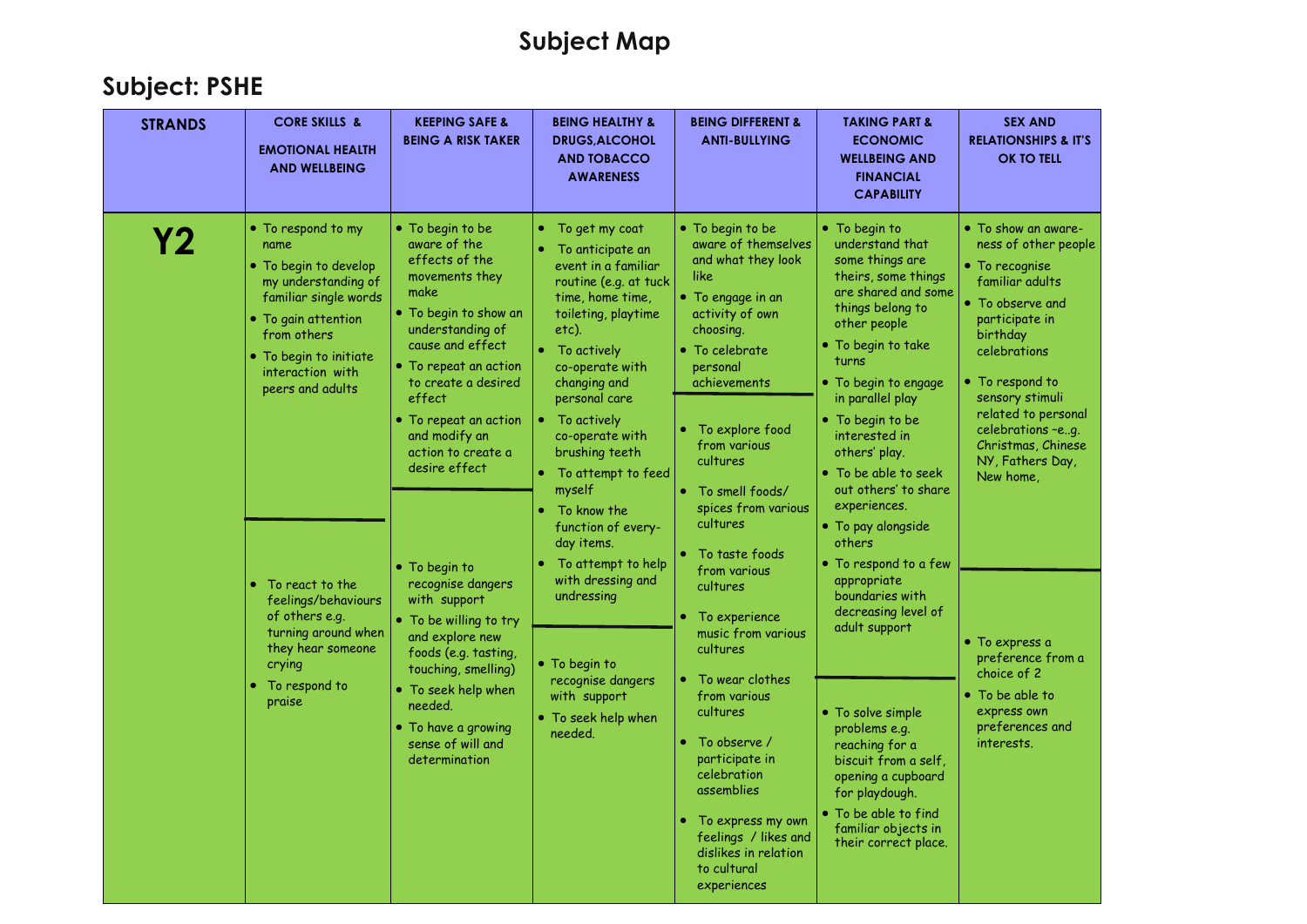| <b>STRANDS</b> | <b>CORE SKILLS &amp;</b><br><b>EMOTIONAL HEALTH</b><br><b>AND WELLBEING</b>                                                                                                                                                                                                                                                                              | <b>KEEPING SAFE &amp;</b><br><b>BEING A RISK TAKER</b>                                                                                                                                                                                                                                                                                                                                                                                                                                                                                  | <b>BEING HEALTHY &amp;</b><br><b>DRUGS, ALCOHOL</b><br><b>AND TOBACCO</b><br><b>AWARENESS</b>                                                                                                                                                                                                                                                                                                                                                                                                              | <b>BEING DIFFERENT &amp;</b><br><b>ANTI-BULLYING</b>                                                                                                                                                                                                                                                                                                                                                                                                                                                              | <b>TAKING PART &amp;</b><br><b>ECONOMIC</b><br><b>WELLBEING AND</b><br><b>FINANCIAL</b><br><b>CAPABILITY</b>                                                                                                                                                                                                                                                                                                                                                                                                                                                                                                                                      | <b>SEX AND</b><br><b>RELATIONSHIPS &amp; IT'S</b><br><b>OK TO TELL</b>                                                                                                                                                                                                                                                                                                                                                       |
|----------------|----------------------------------------------------------------------------------------------------------------------------------------------------------------------------------------------------------------------------------------------------------------------------------------------------------------------------------------------------------|-----------------------------------------------------------------------------------------------------------------------------------------------------------------------------------------------------------------------------------------------------------------------------------------------------------------------------------------------------------------------------------------------------------------------------------------------------------------------------------------------------------------------------------------|------------------------------------------------------------------------------------------------------------------------------------------------------------------------------------------------------------------------------------------------------------------------------------------------------------------------------------------------------------------------------------------------------------------------------------------------------------------------------------------------------------|-------------------------------------------------------------------------------------------------------------------------------------------------------------------------------------------------------------------------------------------------------------------------------------------------------------------------------------------------------------------------------------------------------------------------------------------------------------------------------------------------------------------|---------------------------------------------------------------------------------------------------------------------------------------------------------------------------------------------------------------------------------------------------------------------------------------------------------------------------------------------------------------------------------------------------------------------------------------------------------------------------------------------------------------------------------------------------------------------------------------------------------------------------------------------------|------------------------------------------------------------------------------------------------------------------------------------------------------------------------------------------------------------------------------------------------------------------------------------------------------------------------------------------------------------------------------------------------------------------------------|
| Y2             | • To respond to my<br>name<br>• To begin to develop<br>my understanding of<br>familiar single words<br>• To gain attention<br>from others<br>• To begin to initiate<br>interaction with<br>peers and adults<br>To react to the<br>feelings/behaviours<br>of others e.g.<br>turning around when<br>they hear someone<br>crying<br>To respond to<br>praise | • To begin to be<br>aware of the<br>effects of the<br>movements they<br>make<br>. To begin to show an<br>understanding of<br>cause and effect<br>• To repeat an action<br>to create a desired<br>effect<br>• To repeat an action<br>and modify an<br>action to create a<br>desire effect<br>• To begin to<br>recognise dangers<br>with support<br>• To be willing to try<br>and explore new<br>foods (e.g. tasting,<br>touching, smelling)<br>To seek help when<br>needed.<br>• To have a growing<br>sense of will and<br>determination | To get my coat<br>۰<br>To anticipate an<br>event in a familiar<br>routine (e.g. at tuck<br>time, home time,<br>toileting, playtime<br>etc).<br>To actively<br>co-operate with<br>changing and<br>personal care<br>• To actively<br>co-operate with<br>brushing teeth<br>• To attempt to feed<br>myself<br>To know the<br>function of every-<br>day items.<br>To attempt to help<br>with dressing and<br>undressing<br>• To begin to<br>recognise dangers<br>with support<br>• To seek help when<br>needed. | • To begin to be<br>aware of themselves<br>and what they look<br>like<br>• To engage in an<br>activity of own<br>choosing.<br>• To celebrate<br>personal<br>achievements<br>To explore food<br>from various<br>cultures<br>To smell foods/<br>spices from various<br>cultures<br>To taste foods<br>from various<br>cultures<br>To experience<br>music from various<br>cultures<br>To wear clothes<br>from various<br>cultures<br>To observe /<br>participate in<br>celebration<br>assemblies<br>To express my own | $\bullet$ To begin to<br>understand that<br>some things are<br>theirs, some things<br>are shared and some<br>things belong to<br>other people<br>• To begin to take<br>turns<br>$\bullet$ To begin to engage<br>in parallel play<br>• To begin to be<br>interested in<br>others' play.<br>• To be able to seek<br>out others' to share<br>experiences.<br>• To pay alongside<br>others<br>$\bullet$ To respond to a few<br>appropriate<br>boundaries with<br>decreasing level of<br>adult support<br>• To solve simple<br>problems e.g.<br>reaching for a<br>biscuit from a self,<br>opening a cupboard<br>for playdough.<br>• To be able to find | • To show an aware-<br>ness of other people<br>$\bullet$ To recognise<br>familiar adults<br>• To observe and<br>participate in<br>birthday<br>celebrations<br>• To respond to<br>sensory stimuli<br>related to personal<br>celebrations -eg.<br>Christmas, Chinese<br>NY, Fathers Day,<br>New home,<br>• To express a<br>preference from a<br>choice of 2<br>• To be able to<br>express own<br>preferences and<br>interests. |
|                |                                                                                                                                                                                                                                                                                                                                                          |                                                                                                                                                                                                                                                                                                                                                                                                                                                                                                                                         |                                                                                                                                                                                                                                                                                                                                                                                                                                                                                                            | feelings / likes and<br>dislikes in relation<br>to cultural<br>experiences                                                                                                                                                                                                                                                                                                                                                                                                                                        | familiar objects in<br>their correct place.                                                                                                                                                                                                                                                                                                                                                                                                                                                                                                                                                                                                       |                                                                                                                                                                                                                                                                                                                                                                                                                              |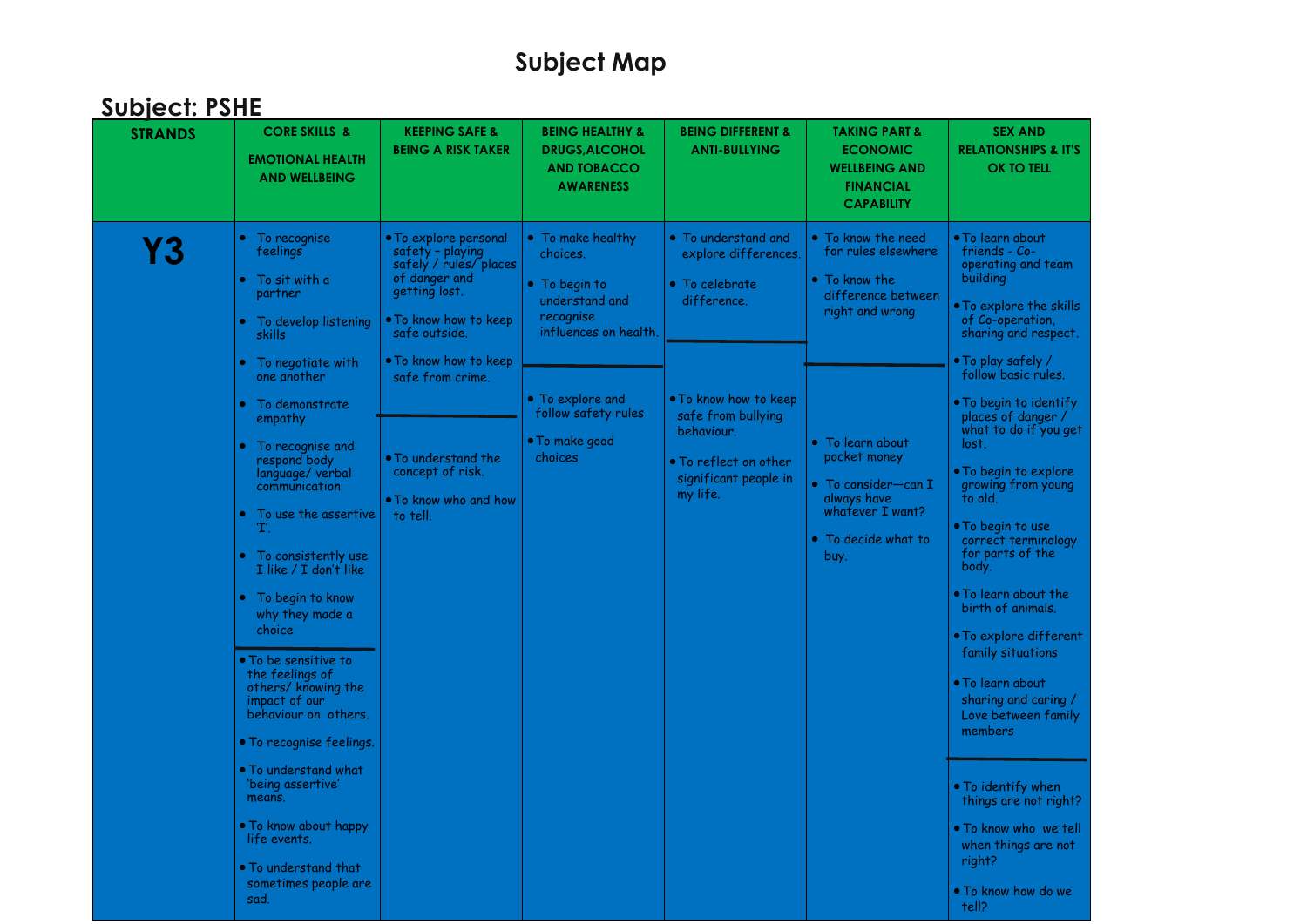|  | <b>Subject: PSHE</b> |
|--|----------------------|
|  |                      |

| , , , , , ,<br><b>STRANDS</b> | <b>CORE SKILLS &amp;</b><br><b>EMOTIONAL HEALTH</b><br><b>AND WELLBEING</b>                                                                                                                                                                                                                                                                                                                                                      | <b>KEEPING SAFE &amp;</b><br><b>BEING A RISK TAKER</b>                                                                                                                                                                                                                                       | <b>BEING HEALTHY &amp;</b><br><b>DRUGS, ALCOHOL</b><br><b>AND TOBACCO</b><br><b>AWARENESS</b>                                                                                  | <b>BEING DIFFERENT &amp;</b><br><b>ANTI-BULLYING</b>                                                                                                                                                            | <b>TAKING PART &amp;</b><br><b>ECONOMIC</b><br><b>WELLBEING AND</b><br><b>FINANCIAL</b><br><b>CAPABILITY</b>                                                                                                        | <b>SEX AND</b><br><b>RELATIONSHIPS &amp; IT'S</b><br><b>OK TO TELL</b>                                                                                                                                                                                                                                                                                                                                              |
|-------------------------------|----------------------------------------------------------------------------------------------------------------------------------------------------------------------------------------------------------------------------------------------------------------------------------------------------------------------------------------------------------------------------------------------------------------------------------|----------------------------------------------------------------------------------------------------------------------------------------------------------------------------------------------------------------------------------------------------------------------------------------------|--------------------------------------------------------------------------------------------------------------------------------------------------------------------------------|-----------------------------------------------------------------------------------------------------------------------------------------------------------------------------------------------------------------|---------------------------------------------------------------------------------------------------------------------------------------------------------------------------------------------------------------------|---------------------------------------------------------------------------------------------------------------------------------------------------------------------------------------------------------------------------------------------------------------------------------------------------------------------------------------------------------------------------------------------------------------------|
| Y3                            | • To recognise<br>feelings<br>$\bullet~$ To sit with a<br>partner<br>$\bullet$ To develop listening<br>skills<br>$\bullet$ To negotiate with<br>one another<br>• To demonstrate<br>empathy<br>To recognise and<br>respond body<br>language/verbal<br>communication<br>To use the assertive<br>Έ.                                                                                                                                 | • To explore personal<br>safety - playing<br>safely / rules/ places<br>of danger and<br>getting lost.<br>$\bullet$ To know how to keep<br>safe outside.<br>. To know how to keep<br>safe from crime.<br>$\bullet$ To understand the<br>concept of risk.<br>. To know who and how<br>to tell. | • To make healthy<br>choices.<br>• To begin to<br>understand and<br>recognise<br>influences on health.<br>• To explore and<br>follow safety rules<br>· To make good<br>choices | • To understand and<br>explore differences.<br>• To celebrate<br>difference.<br>• To know how to keep<br>safe from bullying<br>behaviour.<br>$\bullet$ To reflect on other<br>significant people in<br>my life. | • To know the need<br>for rules elsewhere<br>$\bullet$ To know the<br>difference between<br>right and wrong<br>• To learn about<br>pocket money<br>• To consider—can $\mathbf I$<br>always have<br>whatever I want? | • To learn about<br>friends - Co-<br>operating and team<br>building<br>$\bullet$ To explore the skills<br>of Co-operation,<br>sharing and respect.<br>$\bullet$ To play safely /<br>follow basic rules.<br>$\bullet$ To begin to identify<br>places of danger /<br>what to do if you get<br>lost.<br>. To begin to explore<br>growing from young<br>to old.<br>$\bullet$ To begin to use                            |
|                               | $\bullet$ To consistently use<br>I like / I don't like<br>• To begin to know<br>why they made a<br>choice<br>• To be sensitive to<br>the feelings of<br>others/ knowing the<br>impact of our<br>behaviour on others.<br>• To recognise feelings.<br>$\bullet$ To understand what<br>'being assertive'<br>means.<br>$\bullet$ To know about happy<br>life events.<br>$\bullet$ To understand that<br>sometimes people are<br>sad. |                                                                                                                                                                                                                                                                                              |                                                                                                                                                                                |                                                                                                                                                                                                                 | $\bullet$ To decide what to<br>buy.                                                                                                                                                                                 | correct terminology<br>for parts of the<br>body.<br>$\bullet$ To learn about the<br>birth of animals.<br>$\bullet$ To explore different<br>family situations<br>$\bullet$ To learn about<br>sharing and caring /<br>Love between family<br>members<br>$\bullet$ To identify when<br>things are not right?<br>$\bullet$ To know who we tell<br>when things are not<br>right?<br>$\bullet$ To know how do we<br>tell? |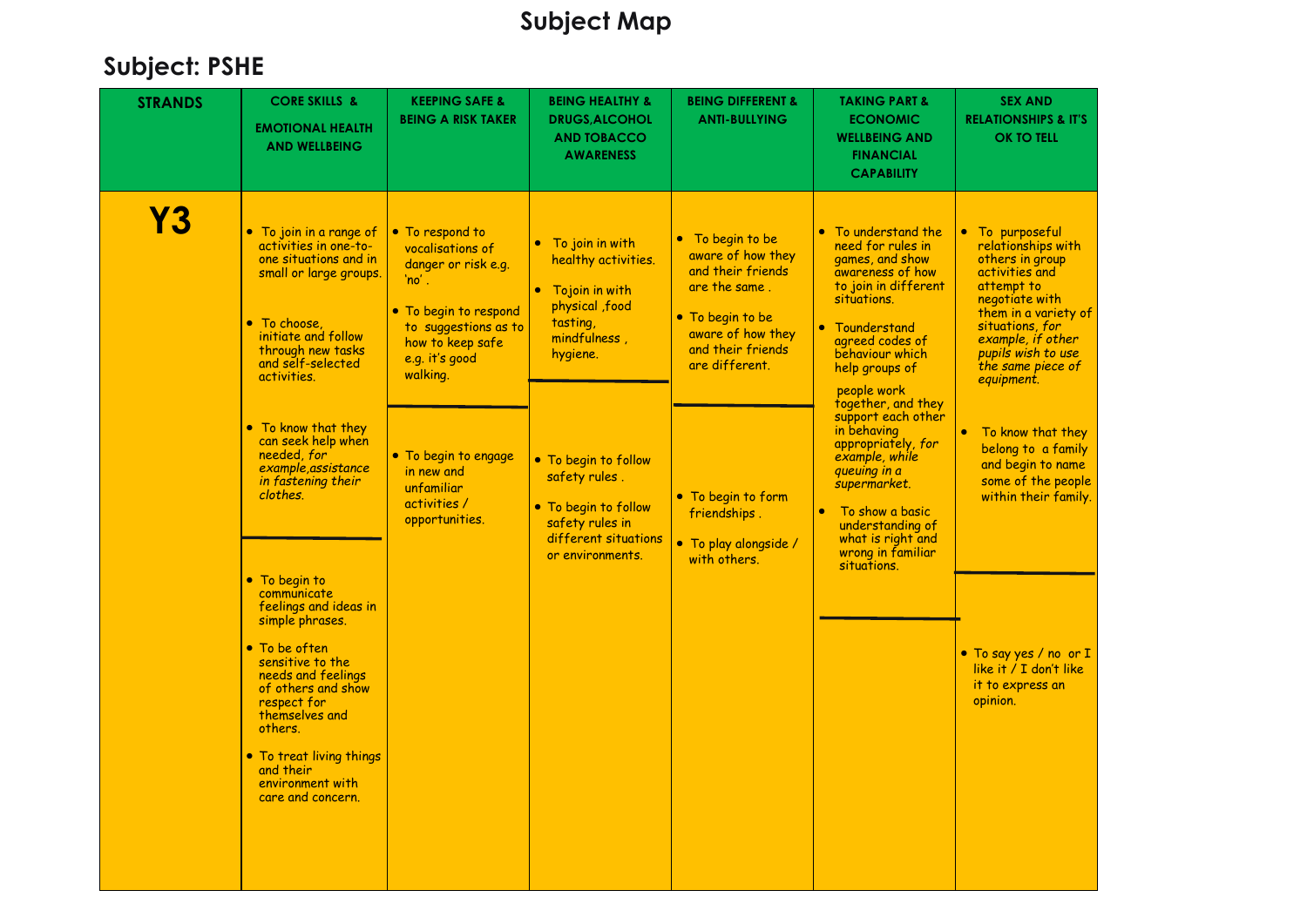| <b>STRANDS</b> | <b>CORE SKILLS &amp;</b><br><b>EMOTIONAL HEALTH</b><br><b>AND WELLBEING</b>                                                                                                                                                                                                                                                                                                           | <b>KEEPING SAFE &amp;</b><br><b>BEING A RISK TAKER</b>                                                                                                                    | <b>BEING HEALTHY &amp;</b><br><b>DRUGS, ALCOHOL</b><br><b>AND TOBACCO</b><br><b>AWARENESS</b>                                | <b>BEING DIFFERENT &amp;</b><br><b>ANTI-BULLYING</b>                                                                                                        | <b>TAKING PART &amp;</b><br><b>ECONOMIC</b><br><b>WELLBEING AND</b><br><b>FINANCIAL</b><br><b>CAPABILITY</b>                                                                                                                                                         | <b>SEX AND</b><br><b>RELATIONSHIPS &amp; IT'S</b><br><b>OK TO TELL</b>                                                                                                                                                              |
|----------------|---------------------------------------------------------------------------------------------------------------------------------------------------------------------------------------------------------------------------------------------------------------------------------------------------------------------------------------------------------------------------------------|---------------------------------------------------------------------------------------------------------------------------------------------------------------------------|------------------------------------------------------------------------------------------------------------------------------|-------------------------------------------------------------------------------------------------------------------------------------------------------------|----------------------------------------------------------------------------------------------------------------------------------------------------------------------------------------------------------------------------------------------------------------------|-------------------------------------------------------------------------------------------------------------------------------------------------------------------------------------------------------------------------------------|
| <b>Y3</b>      | • To join in a range of<br>activities in one-to-<br>one situations and in<br>small or large groups.<br>• To choose,<br>initiate and follow<br>through new tasks<br>and self-selected<br>activities.<br>• To know that they                                                                                                                                                            | • To respond to<br>vocalisations of<br>danger or risk e.g.<br>$'no'$ .<br>• To begin to respond<br>to suggestions as to<br>how to keep safe<br>e.g. it's good<br>walking. | To join in with<br>healthy activities.<br>• Tojoin in with<br>physical , food<br>tasting,<br>mindfulness,<br>hygiene.        | • To begin to be<br>aware of how they<br>and their friends<br>are the same.<br>• To begin to be<br>aware of how they<br>and their friends<br>are different. | To understand the<br>need for rules in<br>games, and show<br>awareness of how<br>to join in different<br>situations.<br>Tounderstand<br>$\bullet$<br>agreed codes of<br>behaviour which<br>help groups of<br>people work<br>together, and they<br>support each other | • To purposeful<br>relationships with<br>others in group<br>activities and<br>attempt to<br>negotiate with<br>them in a variety of<br>situations, for<br>example, if other<br>pupils wish to use<br>the same piece of<br>equipment. |
|                | can seek help when<br>needed, for<br>example, assistance<br>in fastening their<br>clothes.<br>• To begin to<br>communicate<br>feelings and ideas in<br>simple phrases.<br>• To be often<br>sensitive to the<br>needs and feelings<br>of others and show<br>respect for<br>themselves and<br>others.<br>• To treat living things<br>and their<br>environment with<br>care and concern. | • To begin to engage<br>in new and<br>unfamiliar<br>activities /<br>opportunities.                                                                                        | • To begin to follow<br>safety rules.<br>• To begin to follow<br>safety rules in<br>different situations<br>or environments. | • To begin to form<br>friendships.<br>· To play alongside /<br>with others.                                                                                 | in behaving<br>appropriately, for<br>example, while<br>queuing in a<br>supermarket.<br>To show a basic<br>understanding of<br>what is right and<br>wrong in familiar<br>situations.                                                                                  | To know that they<br>belong to a family<br>and begin to name<br>some of the people<br>within their family.<br>• To say yes / no or I<br>like it / I don't like<br>it to express an<br>opinion.                                      |
|                |                                                                                                                                                                                                                                                                                                                                                                                       |                                                                                                                                                                           |                                                                                                                              |                                                                                                                                                             |                                                                                                                                                                                                                                                                      |                                                                                                                                                                                                                                     |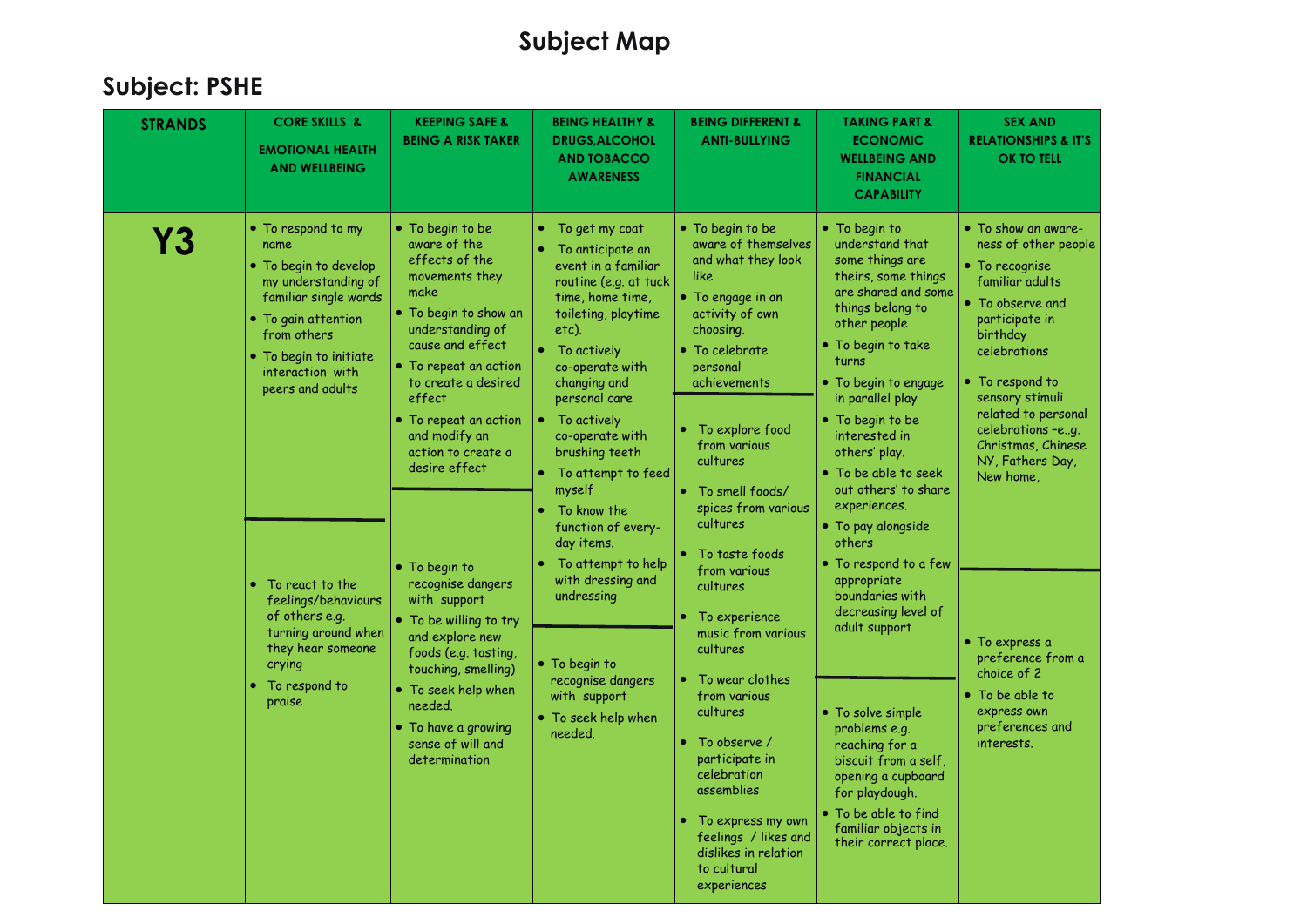| <b>AND WELLBEING</b><br><b>AWARENESS</b><br><b>FINANCIAL</b><br><b>CAPABILITY</b>                                                                                                                                                                                                                                                                                                                                                                                                                                                                                                                                                                                                                                                                                                                                                                                                                                                                                                                                                                                                                                                                                                                                                                                                                                                                                                                                                                                                                                                                                                                                                                                                                                                                                                                                                                                                                                                                                                                                                                                                                                                                                                                                                                                                                                                                                                                                                                                                                                                                                                                                                                                                                                                                  |                                                                                                                                                                                                                                                                                                                                                                                                                              |
|----------------------------------------------------------------------------------------------------------------------------------------------------------------------------------------------------------------------------------------------------------------------------------------------------------------------------------------------------------------------------------------------------------------------------------------------------------------------------------------------------------------------------------------------------------------------------------------------------------------------------------------------------------------------------------------------------------------------------------------------------------------------------------------------------------------------------------------------------------------------------------------------------------------------------------------------------------------------------------------------------------------------------------------------------------------------------------------------------------------------------------------------------------------------------------------------------------------------------------------------------------------------------------------------------------------------------------------------------------------------------------------------------------------------------------------------------------------------------------------------------------------------------------------------------------------------------------------------------------------------------------------------------------------------------------------------------------------------------------------------------------------------------------------------------------------------------------------------------------------------------------------------------------------------------------------------------------------------------------------------------------------------------------------------------------------------------------------------------------------------------------------------------------------------------------------------------------------------------------------------------------------------------------------------------------------------------------------------------------------------------------------------------------------------------------------------------------------------------------------------------------------------------------------------------------------------------------------------------------------------------------------------------------------------------------------------------------------------------------------------------|------------------------------------------------------------------------------------------------------------------------------------------------------------------------------------------------------------------------------------------------------------------------------------------------------------------------------------------------------------------------------------------------------------------------------|
| • To respond to my<br>• To begin to be<br>• To begin to be<br>$\bullet$ To begin to<br>To get my coat<br>۰<br>Υ3<br>aware of the<br>aware of themselves<br>understand that<br>name<br>To anticipate an<br>effects of the<br>and what they look<br>some things are<br>$\bullet$ To begin to develop<br>event in a familiar<br>like<br>movements they<br>theirs, some things<br>my understanding of<br>routine (e.g. at tuck<br>are shared and some<br>make<br>familiar single words<br>• To engage in an<br>time, home time,<br>things belong to<br>. To begin to show an<br>toileting, playtime<br>activity of own<br>• To gain attention<br>other people<br>understanding of<br>etc).<br>choosing.<br>from others<br>cause and effect<br>$\bullet$ To begin to take<br>• To celebrate<br>To actively<br>• To begin to initiate<br>turns<br>• To repeat an action<br>co-operate with<br>personal<br>interaction with<br>• To begin to engage<br>to create a desired<br>changing and<br>achievements<br>peers and adults<br>effect<br>in parallel play<br>personal care<br>• To begin to be<br>• To repeat an action<br>To actively<br>To explore food<br>۰<br>and modify an<br>co-operate with<br>interested in<br>from various<br>action to create a<br>brushing teeth<br>others' play.<br>cultures<br>desire effect<br>• To be able to seek<br>• To attempt to feed<br>out others' to share<br>myself<br>• To smell foods/<br>experiences.<br>spices from various<br>To know the<br>cultures<br>function of every-<br>· To pay alongside<br>others<br>day items.<br>To taste foods<br>To attempt to help<br>• To respond to a few<br>• To begin to<br>from various<br>with dressing and<br>appropriate<br>To react to the<br>recognise dangers<br>cultures<br>boundaries with<br>undressing<br>with support<br>feelings/behaviours<br>decreasing level of<br>of others e.g.<br>To experience<br>• To be willing to try<br>adult support<br>turning around when<br>music from various<br>and explore new<br>they hear someone<br>cultures<br>foods (e.g. tasting,<br>• To begin to<br>crying<br>touching, smelling)<br>To wear clothes<br>recognise dangers<br>To respond to<br>$\bullet$ To seek help when<br>from various<br>with support<br>praise<br>needed.<br>cultures<br>• To solve simple<br>• To seek help when<br>• To have a growing<br>problems e.g.<br>needed.<br>sense of will and<br>To observe /<br>reaching for a<br>determination<br>participate in<br>biscuit from a self,<br>celebration<br>opening a cupboard<br>assemblies<br>for playdough.<br>• To be able to find<br>To express my own<br>۰<br>familiar objects in<br>feelings / likes and<br>their correct place.<br>dislikes in relation<br>to cultural<br>experiences | • To show an aware-<br>ness of other people<br>$\bullet$ To recognise<br>familiar adults<br>• To observe and<br>participate in<br>birthday<br>celebrations<br>• To respond to<br>sensory stimuli<br>related to personal<br>celebrations -eg.<br>Christmas, Chinese<br>NY, Fathers Day,<br>New home,<br>• To express a<br>preference from a<br>choice of 2<br>• To be able to<br>express own<br>preferences and<br>interests. |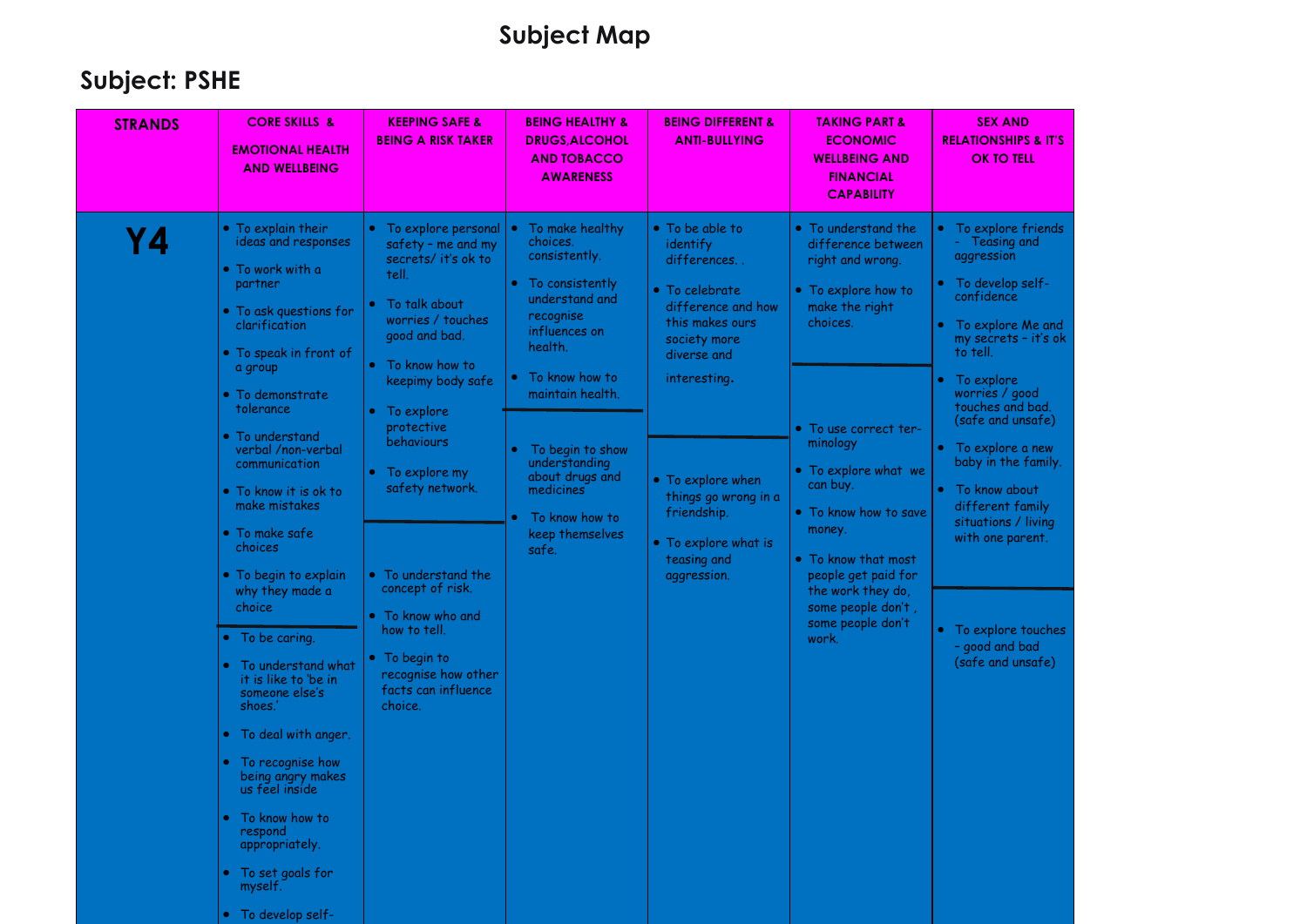| <b>STRANDS</b> | <b>CORE SKILLS &amp;</b><br><b>EMOTIONAL HEALTH</b><br><b>AND WELLBEING</b>                                                                                                                    | <b>KEEPING SAFE &amp;</b><br><b>BEING A RISK TAKER</b>                                                                                                                                                                                                 | <b>BEING HEALTHY &amp;</b><br><b>DRUGS, ALCOHOL</b><br><b>AND TOBACCO</b><br><b>AWARENESS</b>                                                                                 | <b>BEING DIFFERENT &amp;</b><br><b>ANTI-BULLYING</b>                                                                                                 | <b>TAKING PART &amp;</b><br><b>ECONOMIC</b><br><b>WELLBEING AND</b><br><b>FINANCIAL</b><br><b>CAPABILITY</b>                                                                                                                    | <b>SEX AND</b><br><b>RELATIONSHIPS &amp; IT'S</b><br><b>OK TO TELL</b>                                                                                                                         |
|----------------|------------------------------------------------------------------------------------------------------------------------------------------------------------------------------------------------|--------------------------------------------------------------------------------------------------------------------------------------------------------------------------------------------------------------------------------------------------------|-------------------------------------------------------------------------------------------------------------------------------------------------------------------------------|------------------------------------------------------------------------------------------------------------------------------------------------------|---------------------------------------------------------------------------------------------------------------------------------------------------------------------------------------------------------------------------------|------------------------------------------------------------------------------------------------------------------------------------------------------------------------------------------------|
| Υ4             | • To explain their<br>ideas and responses<br>$\bullet$ To work with a<br>partner<br>• To ask questions for<br>clarification<br>• To speak in front of<br>a group<br>$\bullet$ To demonstrate   | To explore personal<br>safety - me and my<br>secrets/ it's ok to<br>tell.<br>To talk about<br>worries / touches<br>good and bad.<br>• To know how to<br>keepimy body safe                                                                              | To make healthy<br>choices.<br>consistently.<br>To consistently<br>$\bullet$<br>understand and<br>recognise<br>influences on<br>health.<br>To know how to<br>maintain health. | • To be able to<br>identify<br>differences<br>• To celebrate<br>difference and how<br>this makes ours<br>society more<br>diverse and<br>interesting. | • To understand the<br>difference between<br>right and wrong.<br>• To explore how to<br>make the right<br>choices.                                                                                                              | To explore friends<br>Teasing and<br>aggression<br>To develop self-<br>confidence<br>To explore Me and<br>my secrets - it's ok<br>to tell.<br>To explore<br>worries / good<br>touches and bad. |
|                | tolerance<br>• To understand<br>verbal /non-verbal<br>communication<br>● To know it is ok to<br>make mistakes<br>$\bullet$ To make safe<br>choices<br>• To begin to explain<br>why they made a | To explore<br>protective<br>behaviours<br>• To explore my<br>safety network.<br>• To understand the<br>concept of risk.<br>$\bullet$ To know who and<br>how to tell.<br>$\bullet$ To begin to<br>recognise how other<br>facts can influence<br>choice. | To begin to show<br>understanding<br>about drugs and<br>medicines<br>To know how to<br>keep themselves<br>safe.                                                               | • To explore when<br>things go wrong in a<br>friendship.<br>• To explore what is<br>teasing and<br>aggression.                                       | • To use correct ter-<br>minology<br>• To explore what we<br>can buy.<br>• To know how to save<br>money.<br>• To know that most<br>people get paid for<br>the work they do,<br>some people don't,<br>some people don't<br>work. | (safe and unsafe)<br>To explore a new<br>baby in the family.<br>To know about<br>different family<br>situations / living<br>with one parent.                                                   |
|                | choice<br>• To be caring.<br>To understand what<br>it is like to 'be in<br>someone else's<br>shoes.'<br>• To deal with anger.<br>To recognise how<br>being angry makes<br>us feel inside       |                                                                                                                                                                                                                                                        |                                                                                                                                                                               |                                                                                                                                                      |                                                                                                                                                                                                                                 | To explore touches<br>- good and bad<br>(safe and unsafe)                                                                                                                                      |
|                | To know how to<br>respond<br>appropriately.<br>• To set goals for<br>myself.<br>• To develop self-                                                                                             |                                                                                                                                                                                                                                                        |                                                                                                                                                                               |                                                                                                                                                      |                                                                                                                                                                                                                                 |                                                                                                                                                                                                |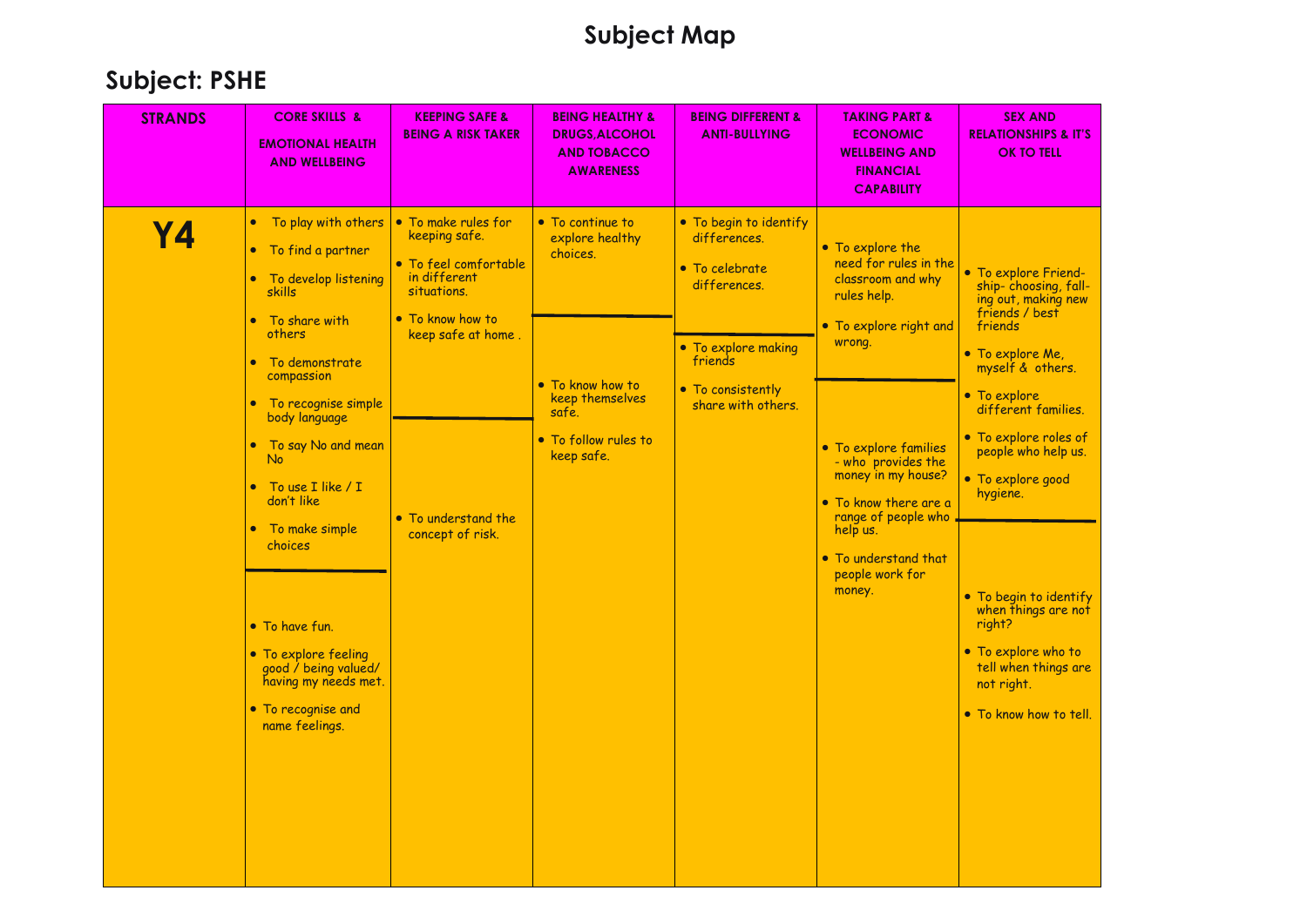| <b>STRANDS</b> | <b>CORE SKILLS &amp;</b><br><b>EMOTIONAL HEALTH</b><br><b>AND WELLBEING</b>                                                                                                                                                                                                                                                                                                                                                                             | <b>KEEPING SAFE &amp;</b><br><b>BEING A RISK TAKER</b>                                                                                                                            | <b>BEING HEALTHY &amp;</b><br><b>DRUGS, ALCOHOL</b><br><b>AND TOBACCO</b><br><b>AWARENESS</b>                                         | <b>BEING DIFFERENT &amp;</b><br><b>ANTI-BULLYING</b>                                                                                                  | <b>TAKING PART &amp;</b><br><b>ECONOMIC</b><br><b>WELLBEING AND</b><br><b>FINANCIAL</b><br><b>CAPABILITY</b>                                                                                                                                                                                                    | <b>SEX AND</b><br><b>RELATIONSHIPS &amp; IT'S</b><br><b>OK TO TELL</b>                                                                                                                                                                                                                                                                                                                                             |
|----------------|---------------------------------------------------------------------------------------------------------------------------------------------------------------------------------------------------------------------------------------------------------------------------------------------------------------------------------------------------------------------------------------------------------------------------------------------------------|-----------------------------------------------------------------------------------------------------------------------------------------------------------------------------------|---------------------------------------------------------------------------------------------------------------------------------------|-------------------------------------------------------------------------------------------------------------------------------------------------------|-----------------------------------------------------------------------------------------------------------------------------------------------------------------------------------------------------------------------------------------------------------------------------------------------------------------|--------------------------------------------------------------------------------------------------------------------------------------------------------------------------------------------------------------------------------------------------------------------------------------------------------------------------------------------------------------------------------------------------------------------|
| Υ4             | To play with others<br>$\bullet$<br>• To find a partner<br>• To develop listening<br>skills<br>• To share with<br>others<br>• To demonstrate<br>compassion<br>• To recognise simple<br>body language<br>• To say No and mean<br><b>No</b><br>$\bullet$ To use I like / I<br>don't like<br>• To make simple<br>choices<br>• To have fun.<br>• To explore feeling<br>good / being valued/<br>having my needs met.<br>• To recognise and<br>name feelings. | • To make rules for<br>keeping safe.<br>· To feel comfortable<br>in different<br>situations.<br>• To know how to<br>keep safe at home.<br>• To understand the<br>concept of risk. | • To continue to<br>explore healthy<br>choices.<br>• To know how to<br>keep themselves<br>safe.<br>• To follow rules to<br>keep safe. | • To begin to identify<br>differences.<br>• To celebrate<br>differences.<br>• To explore making<br>friends<br>• To consistently<br>share with others. | • To explore the<br>need for rules in the<br>classroom and why<br>rules help.<br>• To explore right and<br>wrong.<br>• To explore families<br>- who provides the<br>money in my house?<br>$\bullet$ To know there are a<br>range of people who<br>help us.<br>. To understand that<br>people work for<br>money. | • To explore Friend-<br>ship-choosing, fall-<br>ing out, making new<br>friends / best<br>friends<br>• To explore Me.<br>myself & others.<br>• To explore<br>different families.<br>• To explore roles of<br>people who help us.<br>• To explore good<br>hygiene.<br>• To begin to identify<br>when things are not<br>right?<br>• To explore who to<br>tell when things are<br>not right.<br>. To know how to tell. |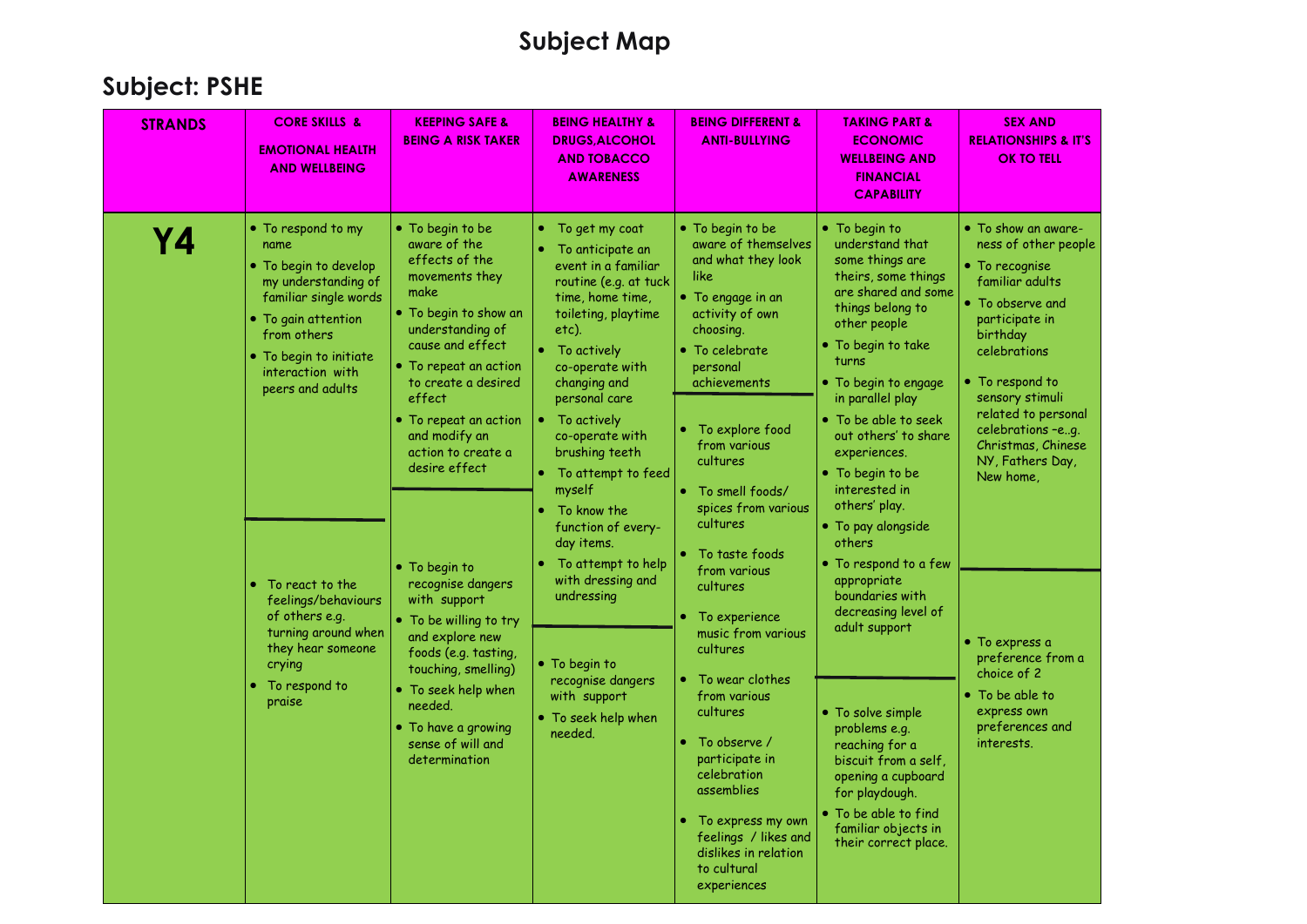| <b>STRANDS</b> | <b>CORE SKILLS &amp;</b><br><b>EMOTIONAL HEALTH</b><br><b>AND WELLBEING</b>                                                                                                                                                                                                                                                                                          | <b>KEEPING SAFE &amp;</b><br><b>BEING A RISK TAKER</b>                                                                                                                                                                                                                                                                                                                                                                                                                                                                                                    | <b>BEING HEALTHY &amp;</b><br><b>DRUGS, ALCOHOL</b><br><b>AND TOBACCO</b><br><b>AWARENESS</b>                                                                                                                                                                                                                                                                                                                                                                                                                    | <b>BEING DIFFERENT &amp;</b><br><b>ANTI-BULLYING</b>                                                                                                                                                                                                                                                                                                                                                                                                                                                                                                                                                 | <b>TAKING PART &amp;</b><br><b>ECONOMIC</b><br><b>WELLBEING AND</b><br><b>FINANCIAL</b><br><b>CAPABILITY</b>                                                                                                                                                                                                                                                                                                                                                                                                                                                                                                                                                                                     | <b>SEX AND</b><br><b>RELATIONSHIPS &amp; IT'S</b><br><b>OK TO TELL</b>                                                                                                                                                                                                                                                                                                                                                               |
|----------------|----------------------------------------------------------------------------------------------------------------------------------------------------------------------------------------------------------------------------------------------------------------------------------------------------------------------------------------------------------------------|-----------------------------------------------------------------------------------------------------------------------------------------------------------------------------------------------------------------------------------------------------------------------------------------------------------------------------------------------------------------------------------------------------------------------------------------------------------------------------------------------------------------------------------------------------------|------------------------------------------------------------------------------------------------------------------------------------------------------------------------------------------------------------------------------------------------------------------------------------------------------------------------------------------------------------------------------------------------------------------------------------------------------------------------------------------------------------------|------------------------------------------------------------------------------------------------------------------------------------------------------------------------------------------------------------------------------------------------------------------------------------------------------------------------------------------------------------------------------------------------------------------------------------------------------------------------------------------------------------------------------------------------------------------------------------------------------|--------------------------------------------------------------------------------------------------------------------------------------------------------------------------------------------------------------------------------------------------------------------------------------------------------------------------------------------------------------------------------------------------------------------------------------------------------------------------------------------------------------------------------------------------------------------------------------------------------------------------------------------------------------------------------------------------|--------------------------------------------------------------------------------------------------------------------------------------------------------------------------------------------------------------------------------------------------------------------------------------------------------------------------------------------------------------------------------------------------------------------------------------|
| Υ4             | • To respond to my<br>name<br>$\bullet$ To begin to develop<br>my understanding of<br>familiar single words<br>• To gain attention<br>from others<br>• To begin to initiate<br>interaction with<br>peers and adults<br>• To react to the<br>feelings/behaviours<br>of others e.g.<br>turning around when<br>they hear someone<br>crying<br>• To respond to<br>praise | • To begin to be<br>aware of the<br>effects of the<br>movements they<br>make<br>. To begin to show an<br>understanding of<br>cause and effect<br>• To repeat an action<br>to create a desired<br>effect<br>$\bullet$ To repeat an action<br>and modify an<br>action to create a<br>desire effect<br>• To begin to<br>recognise dangers<br>with support<br>• To be willing to try<br>and explore new<br>foods (e.g. tasting,<br>touching, smelling)<br>$\bullet$ To seek help when<br>needed.<br>• To have a growing<br>sense of will and<br>determination | To get my coat<br>۰<br>To anticipate an<br>event in a familiar<br>routine (e.g. at tuck<br>time, home time,<br>toileting, playtime<br>etc).<br>To actively<br>co-operate with<br>changing and<br>personal care<br>To actively<br>co-operate with<br>brushing teeth<br>• To attempt to feed<br>myself<br>To know the<br>function of every-<br>day items.<br>To attempt to help<br>with dressing and<br>undressing<br>• To begin to<br>recognise dangers<br>with support<br>$\bullet$ To seek help when<br>needed. | • To begin to be<br>aware of themselves<br>and what they look<br>like<br>• To engage in an<br>activity of own<br>choosing.<br>$\bullet$ To celebrate<br>personal<br>achievements<br>To explore food<br>٠<br>from various<br>cultures<br>• To smell foods/<br>spices from various<br>cultures<br>To taste foods<br>from various<br>cultures<br>To experience<br>music from various<br>cultures<br>To wear clothes<br>from various<br>cultures<br>To observe /<br>participate in<br>celebration<br>assemblies<br>To express my own<br>۰<br>feelings / likes and<br>dislikes in relation<br>to cultural | $\bullet$ To begin to<br>understand that<br>some things are<br>theirs, some things<br>are shared and some<br>things belong to<br>other people<br>• To begin to take<br>turns<br>• To begin to engage<br>in parallel play<br>• To be able to seek<br>out others' to share<br>experiences.<br>• To begin to be<br>interested in<br>others' play.<br>• To pay alongside<br>others<br>$\bullet$ To respond to a few<br>appropriate<br>boundaries with<br>decreasing level of<br>adult support<br>• To solve simple<br>problems e.g.<br>reaching for a<br>biscuit from a self.<br>opening a cupboard<br>for playdough.<br>$\bullet$ To be able to find<br>familiar objects in<br>their correct place. | • To show an aware-<br>ness of other people<br>$\bullet$ To recognise<br>familiar adults<br>• To observe and<br>participate in<br>birthday<br>celebrations<br>• To respond to<br>sensory stimuli<br>related to personal<br>celebrations -eg.<br>Christmas, Chinese<br>NY, Fathers Day,<br>New home,<br>$\bullet$ To express a<br>preference from a<br>choice of 2<br>• To be able to<br>express own<br>preferences and<br>interests. |
|                |                                                                                                                                                                                                                                                                                                                                                                      |                                                                                                                                                                                                                                                                                                                                                                                                                                                                                                                                                           |                                                                                                                                                                                                                                                                                                                                                                                                                                                                                                                  | experiences                                                                                                                                                                                                                                                                                                                                                                                                                                                                                                                                                                                          |                                                                                                                                                                                                                                                                                                                                                                                                                                                                                                                                                                                                                                                                                                  |                                                                                                                                                                                                                                                                                                                                                                                                                                      |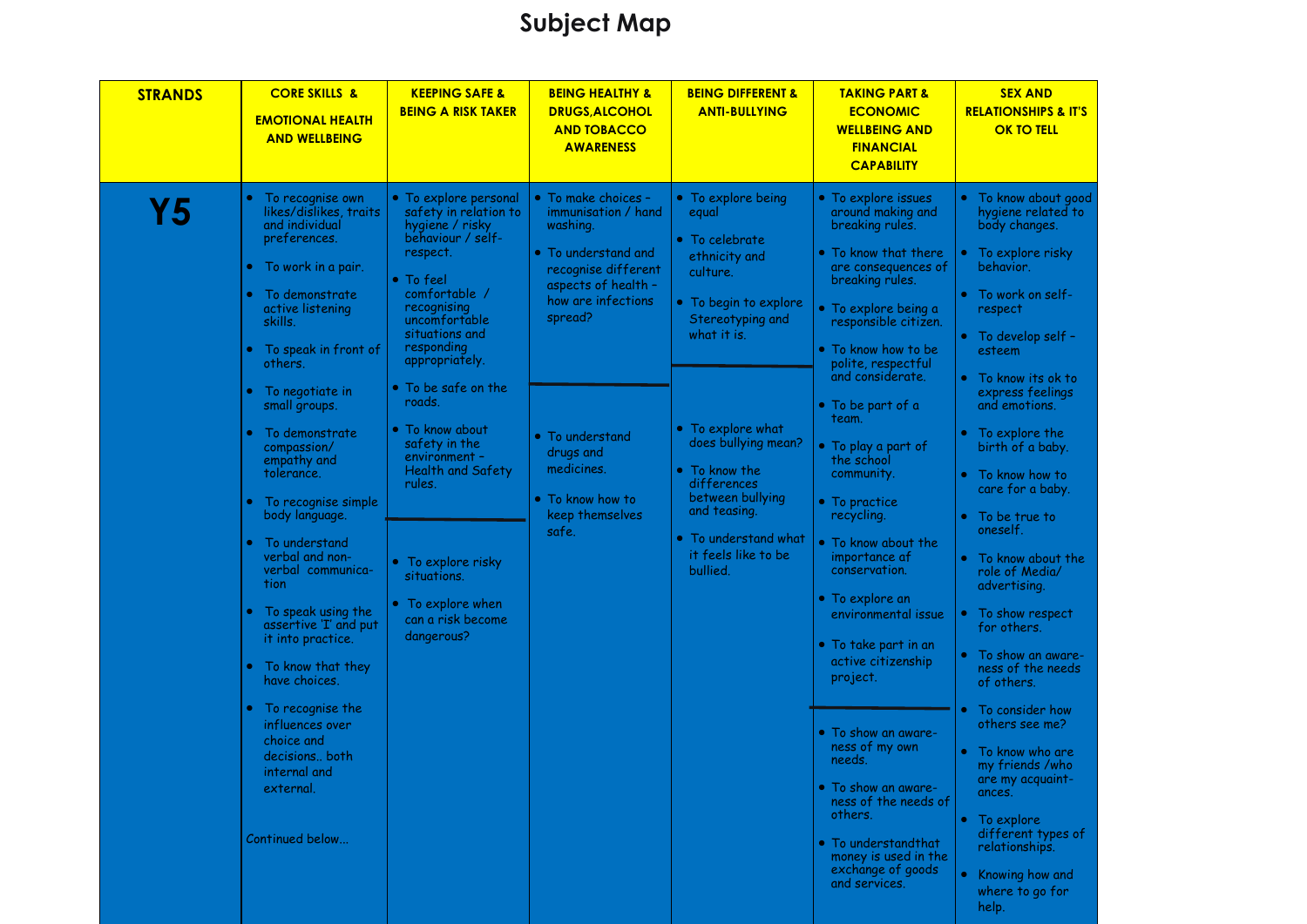| <b>STRANDS</b> | <b>CORE SKILLS &amp;</b><br><b>EMOTIONAL HEALTH</b><br><b>AND WELLBEING</b>                                                                                                                                                                                                                                                                                                                                                                                                                                                                                                                                                                   | <b>KEEPING SAFE &amp;</b><br><b>BEING A RISK TAKER</b>                                                                                                                                                                                                                                                                                                                                                                                                              | <b>BEING HEALTHY &amp;</b><br><b>DRUGS, ALCOHOL</b><br><b>AND TOBACCO</b><br><b>AWARENESS</b>                                                                                                                                                                                          | <b>BEING DIFFERENT &amp;</b><br><b>ANTI-BULLYING</b>                                                                                                                                                                                                                                                              | <b>TAKING PART &amp;</b><br><b>ECONOMIC</b><br><b>WELLBEING AND</b><br><b>FINANCIAL</b><br><b>CAPABILITY</b>                                                                                                                                                                                                                                                                                                                                                                                                                                                                                                                                                                                                                          | <b>SEX AND</b><br><b>RELATIONSHIPS &amp; IT'S</b><br><b>OK TO TELL</b>                                                                                                                                                                                                                                                                                                                                                                                                                                                                                                                                                                                                                                                                                                    |
|----------------|-----------------------------------------------------------------------------------------------------------------------------------------------------------------------------------------------------------------------------------------------------------------------------------------------------------------------------------------------------------------------------------------------------------------------------------------------------------------------------------------------------------------------------------------------------------------------------------------------------------------------------------------------|---------------------------------------------------------------------------------------------------------------------------------------------------------------------------------------------------------------------------------------------------------------------------------------------------------------------------------------------------------------------------------------------------------------------------------------------------------------------|----------------------------------------------------------------------------------------------------------------------------------------------------------------------------------------------------------------------------------------------------------------------------------------|-------------------------------------------------------------------------------------------------------------------------------------------------------------------------------------------------------------------------------------------------------------------------------------------------------------------|---------------------------------------------------------------------------------------------------------------------------------------------------------------------------------------------------------------------------------------------------------------------------------------------------------------------------------------------------------------------------------------------------------------------------------------------------------------------------------------------------------------------------------------------------------------------------------------------------------------------------------------------------------------------------------------------------------------------------------------|---------------------------------------------------------------------------------------------------------------------------------------------------------------------------------------------------------------------------------------------------------------------------------------------------------------------------------------------------------------------------------------------------------------------------------------------------------------------------------------------------------------------------------------------------------------------------------------------------------------------------------------------------------------------------------------------------------------------------------------------------------------------------|
| <b>Y5</b>      | To recognise own<br>likes/dislikes, traits<br>and individual<br>preferences.<br>• To work in a pair.<br>• To demonstrate<br>active listening<br>skills.<br>To speak in front of<br>others.<br>• To negotiate in<br>small groups.<br>To demonstrate<br>compassion/<br>empathy and<br>tolerance.<br>To recognise simple<br>body language.<br>To understand<br>verbal and non-<br>verbal communica-<br>tion<br>To speak using the<br>assertive 'I' and put<br>it into practice.<br>• To know that they<br>have choices.<br>• To recognise the<br>influences over<br>choice and<br>decisions both<br>internal and<br>external.<br>Continued below | • To explore personal<br>safety in relation to<br>hygiene / risky<br>behaviour / self-<br>respect.<br>$\bullet$ To feel<br>comfortable /<br>recognising<br>uncomfortable<br>situations and<br>responding<br>appropriately.<br>• To be safe on the<br>roads.<br>$\bullet$ To know about<br>safety in the<br>environment -<br><b>Health and Safety</b><br>rules.<br>• To explore risky<br>situations.<br>$\bullet$ To explore when<br>can a risk become<br>dangerous? | • To make choices -<br>immunisation / hand<br>washing.<br>$\bullet\,$ To understand and<br>recognise different<br>aspects of health -<br>how are infections<br>spread?<br>$\bullet$ To understand<br>drugs and<br>medicines.<br>$\bullet\,$ To know how to<br>keep themselves<br>safe. | • To explore being<br>equal<br>• To celebrate<br>ethnicity and<br>culture.<br>• To begin to explore<br>Stereotyping and<br>what it is.<br>• To explore what<br>does bullying mean?<br>• To know the<br>differences<br>between bullying<br>and teasing.<br>• To understand what<br>it feels like to be<br>bullied. | • To explore issues<br>around making and<br>breaking rules.<br>• To know that there<br>are consequences of<br>breaking rules.<br>$\bullet$ To explore being a<br>responsible citizen.<br>• To know how to be<br>polite, respectful<br>and considerate.<br>• To be part of a<br>team.<br>• To play a part of<br>the school<br>community.<br>• To practice<br>recycling.<br>. To know about the<br>importance af<br>conservation.<br>• To explore an<br>environmental issue<br>• To take part in an<br>active citizenship<br>project.<br>• To show an aware-<br>ness of my own<br>needs.<br>• To show an aware-<br>ness of the needs of<br>others.<br>· To understandthat<br>money is used in the<br>exchange of goods<br>and services. | • To know about good<br>hygiene related to<br>body changes.<br>To explore risky<br>behavior.<br>• To work on self-<br>respect<br>• To develop self -<br>esteem<br>• To know its ok to<br>express feelings<br>and emotions.<br>• To explore the<br>birth of a baby.<br>$\bullet$<br>To know how to<br>care for a baby.<br>To be true to<br>$\bullet$<br>oneself.<br>To know about the<br>$\bullet$<br>role of Media/<br>advertising.<br>To show respect<br>۰<br>for others.<br>To show an aware-<br>ness of the needs<br>of others.<br>To consider how<br>others see me?<br>$\bullet$ To know who are<br>my friends /who<br>are my acquaint-<br>ances.<br>• To explore<br>different types of<br>relationships.<br>Knowing how and<br>$\bullet$<br>where to go for<br>help. |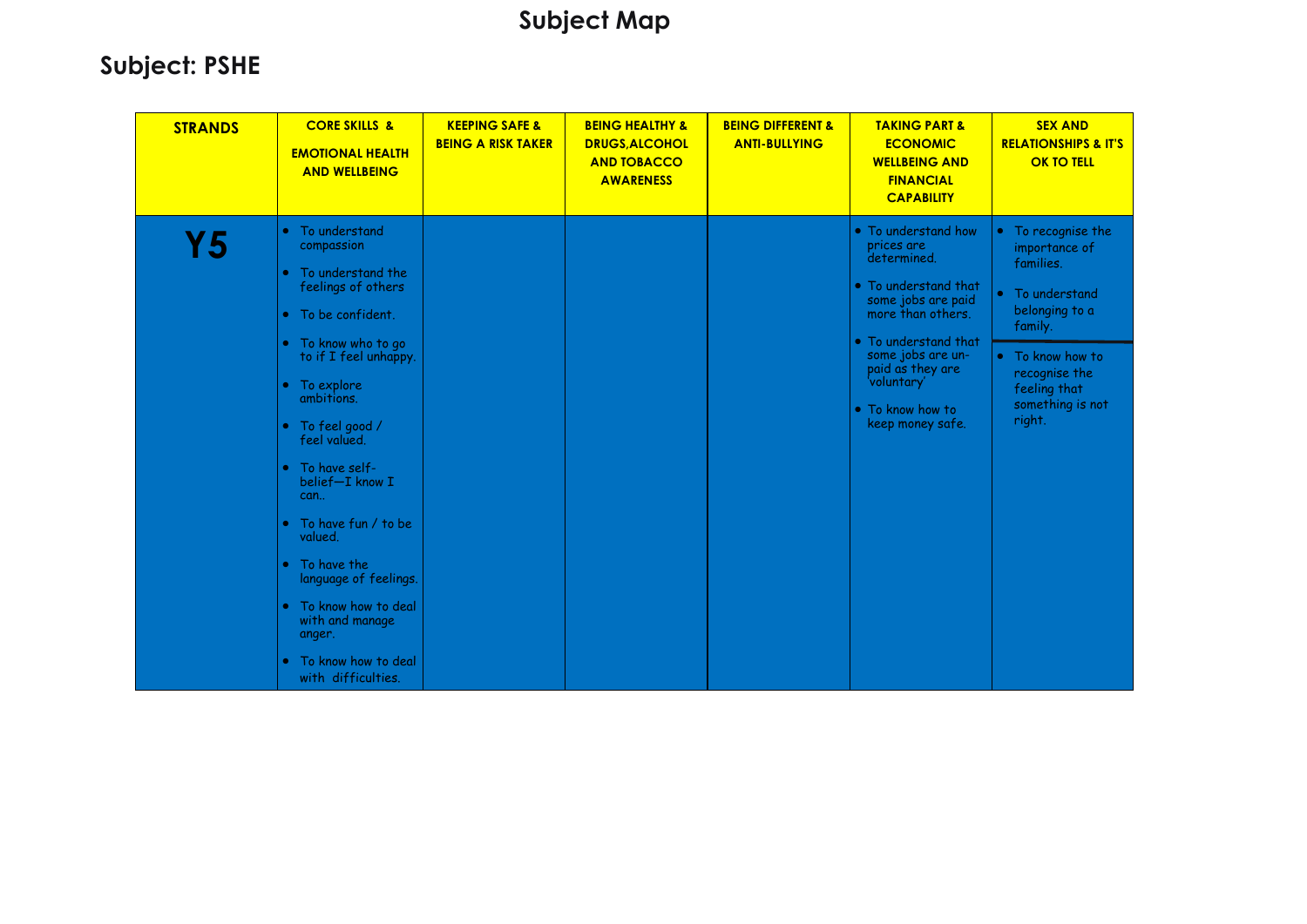| <b>STRANDS</b> | <b>CORE SKILLS &amp;</b><br><b>EMOTIONAL HEALTH</b><br><b>AND WELLBEING</b>                                                                                                                                                                                                                                                                                                                                                                           | <b>KEEPING SAFE &amp;</b><br><b>BEING A RISK TAKER</b> | <b>BEING HEALTHY &amp;</b><br><b>DRUGS, ALCOHOL</b><br><b>AND TOBACCO</b><br><b>AWARENESS</b> | <b>BEING DIFFERENT &amp;</b><br><b>ANTI-BULLYING</b> | <b>TAKING PART &amp;</b><br><b>ECONOMIC</b><br><b>WELLBEING AND</b><br><b>FINANCIAL</b><br><b>CAPABILITY</b>                                                                                                                                | <b>SEX AND</b><br><b>RELATIONSHIPS &amp; IT'S</b><br><b>OK TO TELL</b>                                                                                                                         |
|----------------|-------------------------------------------------------------------------------------------------------------------------------------------------------------------------------------------------------------------------------------------------------------------------------------------------------------------------------------------------------------------------------------------------------------------------------------------------------|--------------------------------------------------------|-----------------------------------------------------------------------------------------------|------------------------------------------------------|---------------------------------------------------------------------------------------------------------------------------------------------------------------------------------------------------------------------------------------------|------------------------------------------------------------------------------------------------------------------------------------------------------------------------------------------------|
| Υ5             | To understand<br>compassion<br>To understand the<br>feelings of others<br>• To be confident.<br>• To know who to go<br>to if I feel unhappy.<br>• To explore<br>ambitions.<br>• To feel good /<br>feel valued.<br>• To have self-<br>belief-I know I<br>can<br>To have fun / to be<br>$\bullet$<br>valued.<br>• To have the<br>language of feelings.<br>To know how to deal<br>with and manage<br>anger.<br>To know how to deal<br>with difficulties. |                                                        |                                                                                               |                                                      | • To understand how<br>prices are<br>determined.<br>• To understand that<br>some jobs are paid<br>more than others.<br>• To understand that<br>some jobs are un-<br>paid as they are<br>'voluntary'<br>• To know how to<br>keep money safe. | • To recognise the<br>importance of<br>families.<br>To understand<br>$\bullet$<br>belonging to a<br>family.<br>• To know how to<br>recognise the<br>feeling that<br>something is not<br>right. |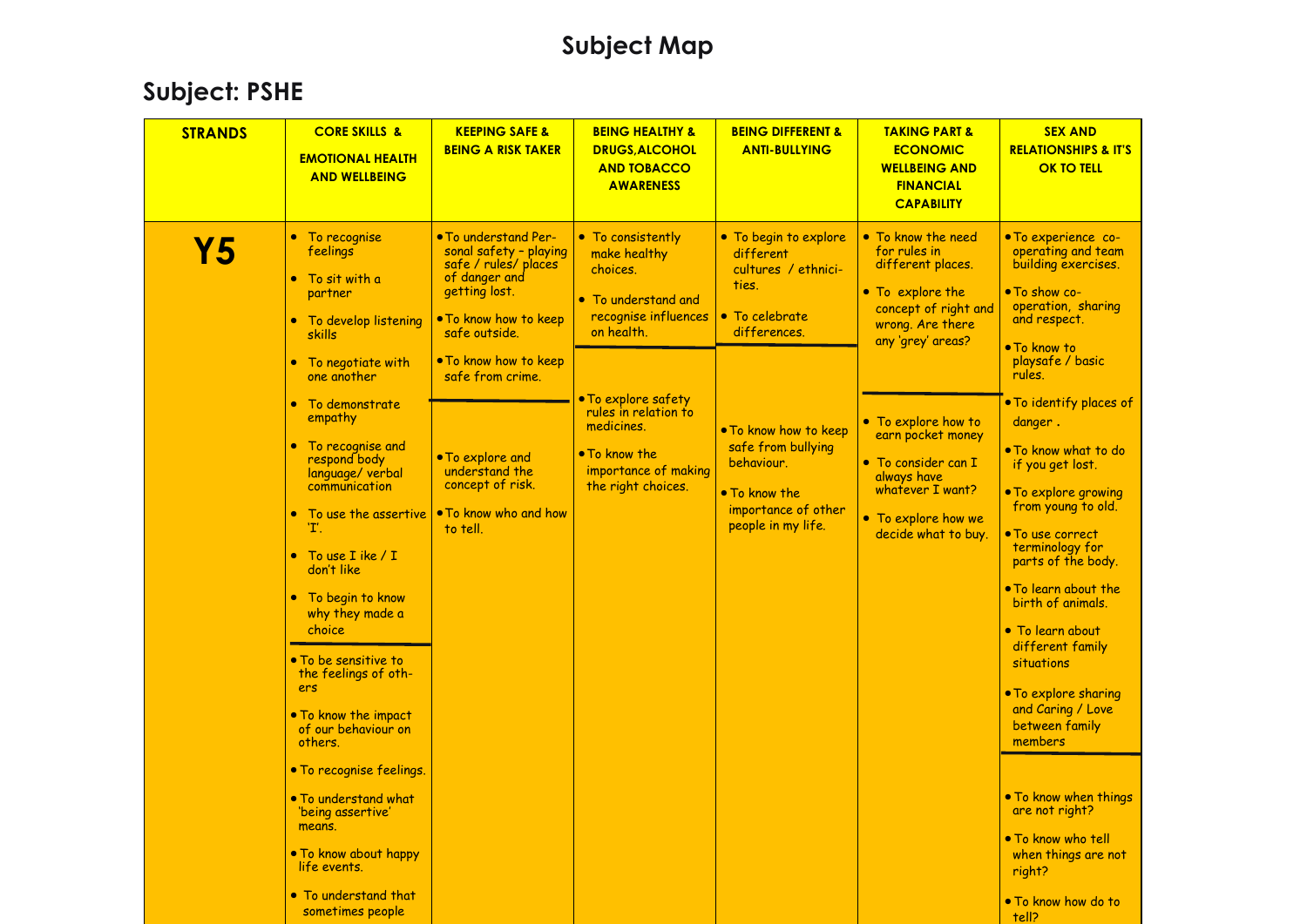| <b>STRANDS</b> | <b>CORE SKILLS &amp;</b><br><b>EMOTIONAL HEALTH</b><br><b>AND WELLBEING</b>                                                                                                                                                                                                                                                                                                    | <b>KEEPING SAFE &amp;</b><br><b>BEING A RISK TAKER</b>                                                                                                                                          | <b>BEING HEALTHY &amp;</b><br><b>DRUGS, ALCOHOL</b><br><b>AND TOBACCO</b><br><b>AWARENESS</b>                                    | <b>BEING DIFFERENT &amp;</b><br><b>ANTI-BULLYING</b>                                                                    | <b>TAKING PART &amp;</b><br><b>ECONOMIC</b><br><b>WELLBEING AND</b><br><b>FINANCIAL</b><br><b>CAPABILITY</b>                                     | <b>SEX AND</b><br><b>RELATIONSHIPS &amp; IT'S</b><br><b>OK TO TELL</b>                                                                                                                                                                                                                                                                                                 |
|----------------|--------------------------------------------------------------------------------------------------------------------------------------------------------------------------------------------------------------------------------------------------------------------------------------------------------------------------------------------------------------------------------|-------------------------------------------------------------------------------------------------------------------------------------------------------------------------------------------------|----------------------------------------------------------------------------------------------------------------------------------|-------------------------------------------------------------------------------------------------------------------------|--------------------------------------------------------------------------------------------------------------------------------------------------|------------------------------------------------------------------------------------------------------------------------------------------------------------------------------------------------------------------------------------------------------------------------------------------------------------------------------------------------------------------------|
| <b>Y5</b>      | • To recognise<br>feelings<br>$\bullet$ To sit with a<br>partner<br>• To develop listening<br>skills<br>• To negotiate with<br>one another                                                                                                                                                                                                                                     | . To understand Per-<br>sonal safety - playing<br>safe / rules/ places<br>of danger and<br>getting lost.<br>. To know how to keep<br>safe outside.<br>. To know how to keep<br>safe from crime. | • To consistently<br>make healthy<br>choices.<br>• To understand and<br>recognise influences<br>on health.                       | • To begin to explore<br>different<br>cultures / ethnici-<br>ties.<br>• To celebrate<br>differences.                    | • To know the need<br>for rules in<br>different places.<br>• To explore the<br>concept of right and<br>wrong. Are there<br>any 'grey' areas?     | • To experience co-<br>operating and team<br>building exercises.<br>• To show co-<br>operation, sharing<br>and respect.<br>• To know to<br>playsafe / basic<br>rules.                                                                                                                                                                                                  |
|                | • To demonstrate<br>empathy<br>• To recognise and<br>respond body<br>language/ verbal<br>communication<br>• To use the assertive<br>'T'.<br>• To use I ike $/ I$<br>don't like<br>• To begin to know<br>why they made a<br>choice<br>• To be sensitive to<br>the feelings of oth-<br>ers<br>• To know the impact<br>of our behaviour on<br>others.<br>• To recognise feelings. | • To explore and<br>understand the<br>concept of risk.<br>• To know who and how<br>to tell.                                                                                                     | . To explore safety<br>rules in relation to<br>medicines.<br>$\bullet$ To know the<br>importance of making<br>the right choices. | . To know how to keep<br>safe from bullying<br>behaviour.<br>. To know the<br>importance of other<br>people in my life. | • To explore how to<br>earn pocket money<br>• To consider can I<br>always have<br>whatever I want?<br>• To explore how we<br>decide what to buy. | • To identify places of<br>danger.<br>• To know what to do<br>if you get lost.<br>• To explore growing<br>from young to old.<br>• To use correct<br>terminology for<br>parts of the body.<br>• To learn about the<br>birth of animals.<br>• To learn about<br>different family<br>situations<br>• To explore sharing<br>and Caring / Love<br>between family<br>members |
|                | • To understand what<br><b>Deing assertive</b><br>means.<br>. To know about happy<br>life events.<br>• To understand that<br>sometimes people                                                                                                                                                                                                                                  |                                                                                                                                                                                                 |                                                                                                                                  |                                                                                                                         |                                                                                                                                                  | • To know when things<br>are not right?<br>. To know who tell<br>when things are not<br>right?<br>. To know how do to<br>tell?                                                                                                                                                                                                                                         |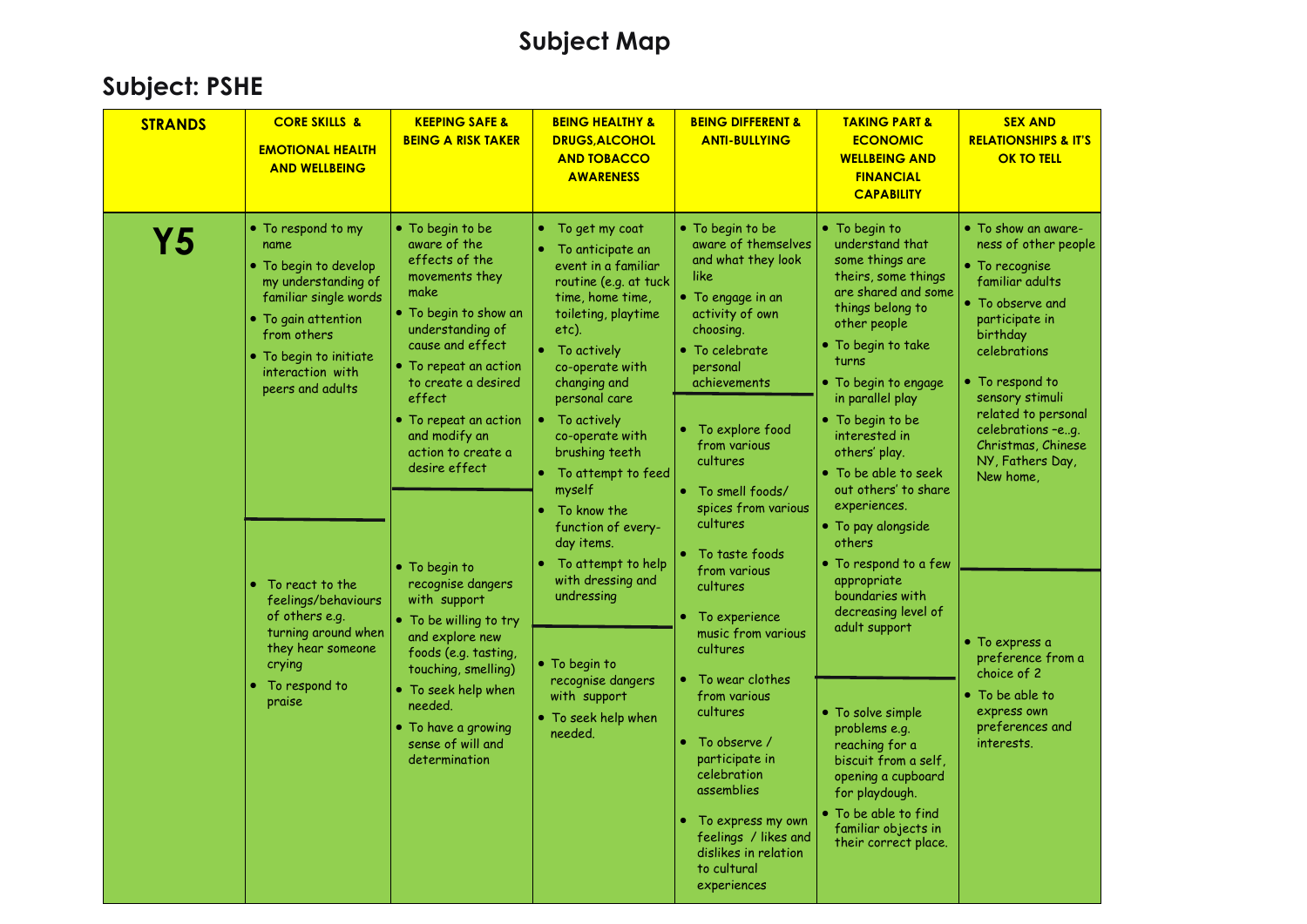| <b>STRANDS</b> | <b>CORE SKILLS &amp;</b><br><b>EMOTIONAL HEALTH</b><br><b>AND WELLBEING</b>                                                                                                                                                                                                                                                                              | <b>KEEPING SAFE &amp;</b><br><b>BEING A RISK TAKER</b>                                                                                                                                                                                                                                                                                                                                                                                                                                                                                            | <b>BEING HEALTHY &amp;</b><br><b>DRUGS, ALCOHOL</b><br><b>AND TOBACCO</b><br><b>AWARENESS</b>                                                                                                                                                                                                                                                                                                                                                                                                            | <b>BEING DIFFERENT &amp;</b><br><b>ANTI-BULLYING</b>                                                                                                                                                                                                                                                                                                                                                                                                                                                                                                                                                        | <b>TAKING PART &amp;</b><br><b>ECONOMIC</b><br><b>WELLBEING AND</b><br><b>FINANCIAL</b><br><b>CAPABILITY</b>                                                                                                                                                                                                                                                                                                                                                                                                                                                                                                                                                             | <b>SEX AND</b><br><b>RELATIONSHIPS &amp; IT'S</b><br><b>OK TO TELL</b>                                                                                                                                                                                                                                                                                                                                                       |
|----------------|----------------------------------------------------------------------------------------------------------------------------------------------------------------------------------------------------------------------------------------------------------------------------------------------------------------------------------------------------------|---------------------------------------------------------------------------------------------------------------------------------------------------------------------------------------------------------------------------------------------------------------------------------------------------------------------------------------------------------------------------------------------------------------------------------------------------------------------------------------------------------------------------------------------------|----------------------------------------------------------------------------------------------------------------------------------------------------------------------------------------------------------------------------------------------------------------------------------------------------------------------------------------------------------------------------------------------------------------------------------------------------------------------------------------------------------|-------------------------------------------------------------------------------------------------------------------------------------------------------------------------------------------------------------------------------------------------------------------------------------------------------------------------------------------------------------------------------------------------------------------------------------------------------------------------------------------------------------------------------------------------------------------------------------------------------------|--------------------------------------------------------------------------------------------------------------------------------------------------------------------------------------------------------------------------------------------------------------------------------------------------------------------------------------------------------------------------------------------------------------------------------------------------------------------------------------------------------------------------------------------------------------------------------------------------------------------------------------------------------------------------|------------------------------------------------------------------------------------------------------------------------------------------------------------------------------------------------------------------------------------------------------------------------------------------------------------------------------------------------------------------------------------------------------------------------------|
| <b>Y5</b>      | • To respond to my<br>name<br>• To begin to develop<br>my understanding of<br>familiar single words<br>• To gain attention<br>from others<br>• To begin to initiate<br>interaction with<br>peers and adults<br>To react to the<br>feelings/behaviours<br>of others e.g.<br>turning around when<br>they hear someone<br>crying<br>To respond to<br>praise | • To begin to be<br>aware of the<br>effects of the<br>movements they<br>make<br>. To begin to show an<br>understanding of<br>cause and effect<br>• To repeat an action<br>to create a desired<br>effect<br>• To repeat an action<br>and modify an<br>action to create a<br>desire effect<br>• To begin to<br>recognise dangers<br>with support<br>• To be willing to try<br>and explore new<br>foods (e.g. tasting,<br>touching, smelling)<br>$\bullet$ To seek help when<br>needed.<br>• To have a growing<br>sense of will and<br>determination | To get my coat<br>۰<br>To anticipate an<br>event in a familiar<br>routine (e.g. at tuck<br>time, home time,<br>toileting, playtime<br>etc).<br>To actively<br>co-operate with<br>changing and<br>personal care<br>To actively<br>co-operate with<br>brushing teeth<br>• To attempt to feed<br>myself<br>To know the<br>function of every-<br>day items.<br>To attempt to help<br>with dressing and<br>undressing<br>• To begin to<br>recognise dangers<br>with support<br>• To seek help when<br>needed. | • To begin to be<br>aware of themselves<br>and what they look<br>like<br>• To engage in an<br>activity of own<br>choosing.<br>• To celebrate<br>personal<br>achievements<br>To explore food<br>۰<br>from various<br>cultures<br>• To smell foods/<br>spices from various<br>cultures<br>To taste foods<br>from various<br>cultures<br>To experience<br>music from various<br>cultures<br>To wear clothes<br>from various<br>cultures<br>To observe /<br>participate in<br>celebration<br>assemblies<br>To express my own<br>۰<br>feelings / likes and<br>dislikes in relation<br>to cultural<br>experiences | • To begin to<br>understand that<br>some things are<br>theirs, some things<br>are shared and some<br>things belong to<br>other people<br>· To begin to take<br>turns<br>• To begin to engage<br>in parallel play<br>• To begin to be<br>interested in<br>others' play.<br>• To be able to seek<br>out others' to share<br>experiences.<br>• To pay alongside<br>others<br>• To respond to a few<br>appropriate<br>boundaries with<br>decreasing level of<br>adult support<br>• To solve simple<br>problems e.g.<br>reaching for a<br>biscuit from a self,<br>opening a cupboard<br>for playdough.<br>• To be able to find<br>familiar objects in<br>their correct place. | • To show an aware-<br>ness of other people<br>$\bullet$ To recognise<br>familiar adults<br>• To observe and<br>participate in<br>birthday<br>celebrations<br>• To respond to<br>sensory stimuli<br>related to personal<br>celebrations -eg.<br>Christmas, Chinese<br>NY, Fathers Day,<br>New home,<br>• To express a<br>preference from a<br>choice of 2<br>• To be able to<br>express own<br>preferences and<br>interests. |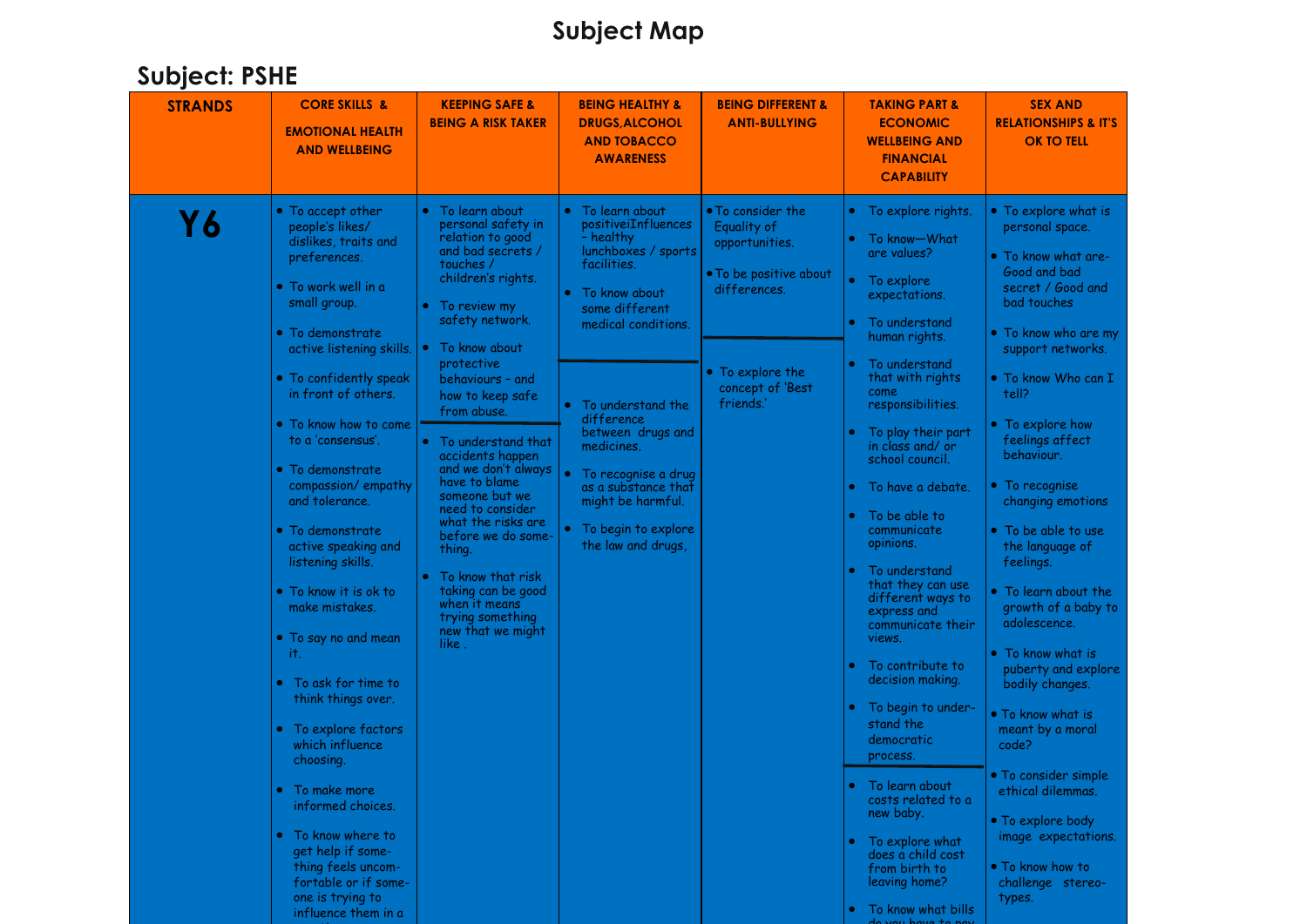| <b>STRANDS</b> | <b>CORE SKILLS &amp;</b><br><b>EMOTIONAL HEALTH</b><br><b>AND WELLBEING</b>                                                                                                                                                                                                                                                                                                                                                 | <b>KEEPING SAFE &amp;</b><br><b>BEING A RISK TAKER</b>                                                                                                                                                                                                                                    | <b>BEING HEALTHY &amp;</b><br><b>DRUGS, ALCOHOL</b><br><b>AND TOBACCO</b><br><b>AWARENESS</b>                                                                                           | <b>BEING DIFFERENT &amp;</b><br><b>ANTI-BULLYING</b>                                                                                              | <b>TAKING PART &amp;</b><br><b>ECONOMIC</b><br><b>WELLBEING AND</b><br><b>FINANCIAL</b><br><b>CAPABILITY</b>                                                                                                                                                                                                                                                                                                        | <b>SEX AND</b><br><b>RELATIONSHIPS &amp; IT'S</b><br><b>OK TO TELL</b>                                                                                                                                                                                                                                                                                                                               |
|----------------|-----------------------------------------------------------------------------------------------------------------------------------------------------------------------------------------------------------------------------------------------------------------------------------------------------------------------------------------------------------------------------------------------------------------------------|-------------------------------------------------------------------------------------------------------------------------------------------------------------------------------------------------------------------------------------------------------------------------------------------|-----------------------------------------------------------------------------------------------------------------------------------------------------------------------------------------|---------------------------------------------------------------------------------------------------------------------------------------------------|---------------------------------------------------------------------------------------------------------------------------------------------------------------------------------------------------------------------------------------------------------------------------------------------------------------------------------------------------------------------------------------------------------------------|------------------------------------------------------------------------------------------------------------------------------------------------------------------------------------------------------------------------------------------------------------------------------------------------------------------------------------------------------------------------------------------------------|
| Υ6             | • To accept other<br>people's likes/<br>dislikes, traits and<br>preferences.<br>• To work well in a<br>small group.<br>$\bullet\,$ To demonstrate<br>active listening skills.<br>• To confidently speak<br>in front of others.<br>• To know how to come                                                                                                                                                                     | To learn about<br>personal safety in<br>relation to good<br>and bad secrets /<br>touches /<br>children's rights.<br>To review my<br>safety network.<br>To know about<br>protective<br>behaviours - and<br>how to keep safe<br>from abuse.                                                 | • To learn about<br>positiveiInfluences<br>- healthy<br>lunchboxes / sports<br>facilities.<br>To know about<br>some different<br>medical conditions.<br>To understand the<br>difference | • To consider the<br>Equality of<br>opportunities.<br>. To be positive about<br>differences.<br>• To explore the<br>concept of 'Best<br>friends.' | • To explore rights.<br>To know-What<br>are values?<br>• To explore<br>expectations.<br>To understand<br>human rights.<br>To understand<br>that with rights<br>come<br>responsibilities.                                                                                                                                                                                                                            | • To explore what is<br>personal space.<br>• To know what are-<br>Good and bad<br>secret / Good and<br>bad touches<br>• To know who are my<br>support networks.<br>• To know Who can I<br>tell?<br>• To explore how                                                                                                                                                                                  |
|                | to a 'consensus'.<br>$\bullet$ To demonstrate<br>compassion/empathy<br>and tolerance.<br>$\bullet\,$ To demonstrate<br>active speaking and<br>listening skills.<br>$\bullet$ To know it is ok to<br>make mistakes.<br>• To say no and mean<br>it.<br>To ask for time to<br>think things over.<br>To explore factors<br>$\bullet$<br>which influence<br>choosing.<br>To make more<br>informed choices.<br>• To know where to | To understand that<br>accidents happen<br>and we don't always<br>have to blame<br>someone but we<br>need to consider<br>what the risks are<br>before we do some-<br>thing.<br>To know that risk<br>taking can be good<br>when it means<br>trying something<br>new that we might<br>like . | between drugs and<br>medicines.<br>To recognise a drug<br>as a substance that<br>might be harmful.<br>To begin to explore<br>the law and drugs,                                         |                                                                                                                                                   | To play their part<br>in class and/ or<br>school council.<br>. To have a debate,<br>To be able to<br>communicate<br>opinions.<br>To understand<br>that they can use<br>different ways to<br>express and<br>communicate their<br>views.<br>To contribute to<br>decision making.<br>To begin to under-<br>stand the<br>democratic<br>process.<br>To learn about<br>costs related to a<br>new baby.<br>To explore what | feelings affect<br>behaviour.<br>• To recognise<br>changing emotions<br>• To be able to use<br>the language of<br>feelings.<br>• To learn about the<br>growth of a baby to<br>adolescence.<br>• To know what is<br>puberty and explore<br>bodily changes.<br>. To know what is<br>meant by a moral<br>code?<br>• To consider simple<br>ethical dilemmas.<br>• To explore body<br>image expectations. |
|                | get help if some-<br>thing feels uncom-<br>fortable or if some-<br>one is trying to<br>influence them in a                                                                                                                                                                                                                                                                                                                  |                                                                                                                                                                                                                                                                                           |                                                                                                                                                                                         |                                                                                                                                                   | does a child cost<br>from birth to<br>leaving home?<br>To know what bills<br>$u \circ u$ have to have                                                                                                                                                                                                                                                                                                               | • To know how to<br>challenge stereo-<br>types.                                                                                                                                                                                                                                                                                                                                                      |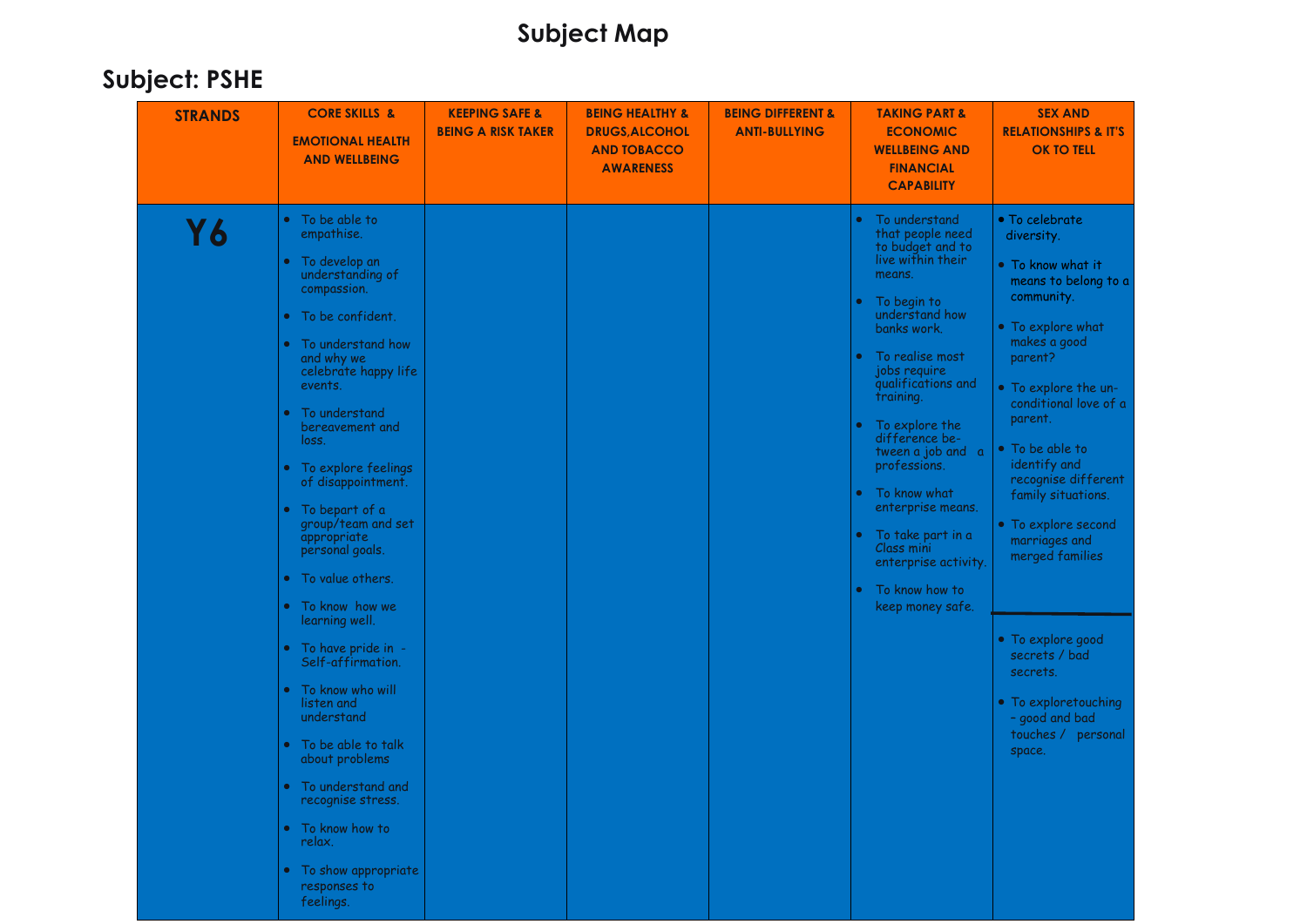| <b>STRANDS</b> | <b>CORE SKILLS &amp;</b><br><b>EMOTIONAL HEALTH</b><br><b>AND WELLBEING</b>                                                                                                                                                                                                                                                                                                                                                                                                                                                                                                                                                                                                                                                                 | <b>KEEPING SAFE &amp;</b><br><b>BEING A RISK TAKER</b> | <b>BEING HEALTHY &amp;</b><br><b>DRUGS, ALCOHOL</b><br><b>AND TOBACCO</b><br><b>AWARENESS</b> | <b>BEING DIFFERENT &amp;</b><br><b>ANTI-BULLYING</b> | <b>TAKING PART &amp;</b><br><b>ECONOMIC</b><br><b>WELLBEING AND</b><br><b>FINANCIAL</b><br><b>CAPABILITY</b>                                                                                                                                                                                                                                                                                                                                | <b>SEX AND</b><br><b>RELATIONSHIPS &amp; IT'S</b><br><b>OK TO TELL</b>                                                                                                                                                                                                                                                                                                                                                                                                     |
|----------------|---------------------------------------------------------------------------------------------------------------------------------------------------------------------------------------------------------------------------------------------------------------------------------------------------------------------------------------------------------------------------------------------------------------------------------------------------------------------------------------------------------------------------------------------------------------------------------------------------------------------------------------------------------------------------------------------------------------------------------------------|--------------------------------------------------------|-----------------------------------------------------------------------------------------------|------------------------------------------------------|---------------------------------------------------------------------------------------------------------------------------------------------------------------------------------------------------------------------------------------------------------------------------------------------------------------------------------------------------------------------------------------------------------------------------------------------|----------------------------------------------------------------------------------------------------------------------------------------------------------------------------------------------------------------------------------------------------------------------------------------------------------------------------------------------------------------------------------------------------------------------------------------------------------------------------|
| <b>Y6</b>      | To be able to<br>empathise.<br>To develop an<br>understanding of<br>compassion.<br>• To be confident.<br>To understand how<br>and why we<br>celebrate happy life<br>events.<br>To understand<br>$\bullet$<br>bereavement and<br>loss.<br>To explore feelings<br>$\bullet$<br>of disappointment.<br>To bepart of a<br>group/team and set<br>appropriate<br>personal goals.<br>To value others.<br>$\bullet$<br>• To know how we<br>learning well.<br>To have pride in -<br>$\bullet$<br>Self-affirmation.<br>To know who will<br>listen and<br>understand<br>To be able to talk<br>about problems<br>To understand and<br>$\bullet$<br>recognise stress.<br>• To know how to<br>relax.<br>• To show appropriate<br>responses to<br>feelings. |                                                        |                                                                                               |                                                      | To understand<br>٠<br>that people need<br>to budget and to<br>live within their<br>means.<br>To begin to<br>understand how<br>banks work.<br>To realise most<br>jobs require<br>qualifications and<br>training.<br>To explore the<br>difference be-<br>tween a job and a<br>professions.<br>To know what<br>enterprise means.<br>To take part in a<br>Class mini<br>enterprise activity.<br>To know how to<br>$\bullet$<br>keep money safe. | • To celebrate<br>diversity.<br>• To know what it<br>means to belong to a<br>community.<br>• To explore what<br>makes a good<br>parent?<br>• To explore the un-<br>conditional love of a<br>parent.<br>• To be able to<br>identify and<br>recognise different<br>family situations.<br>• To explore second<br>marriages and<br>merged families<br>• To explore good<br>secrets / bad<br>secrets.<br>• To exploretouching<br>- good and bad<br>touches / personal<br>space. |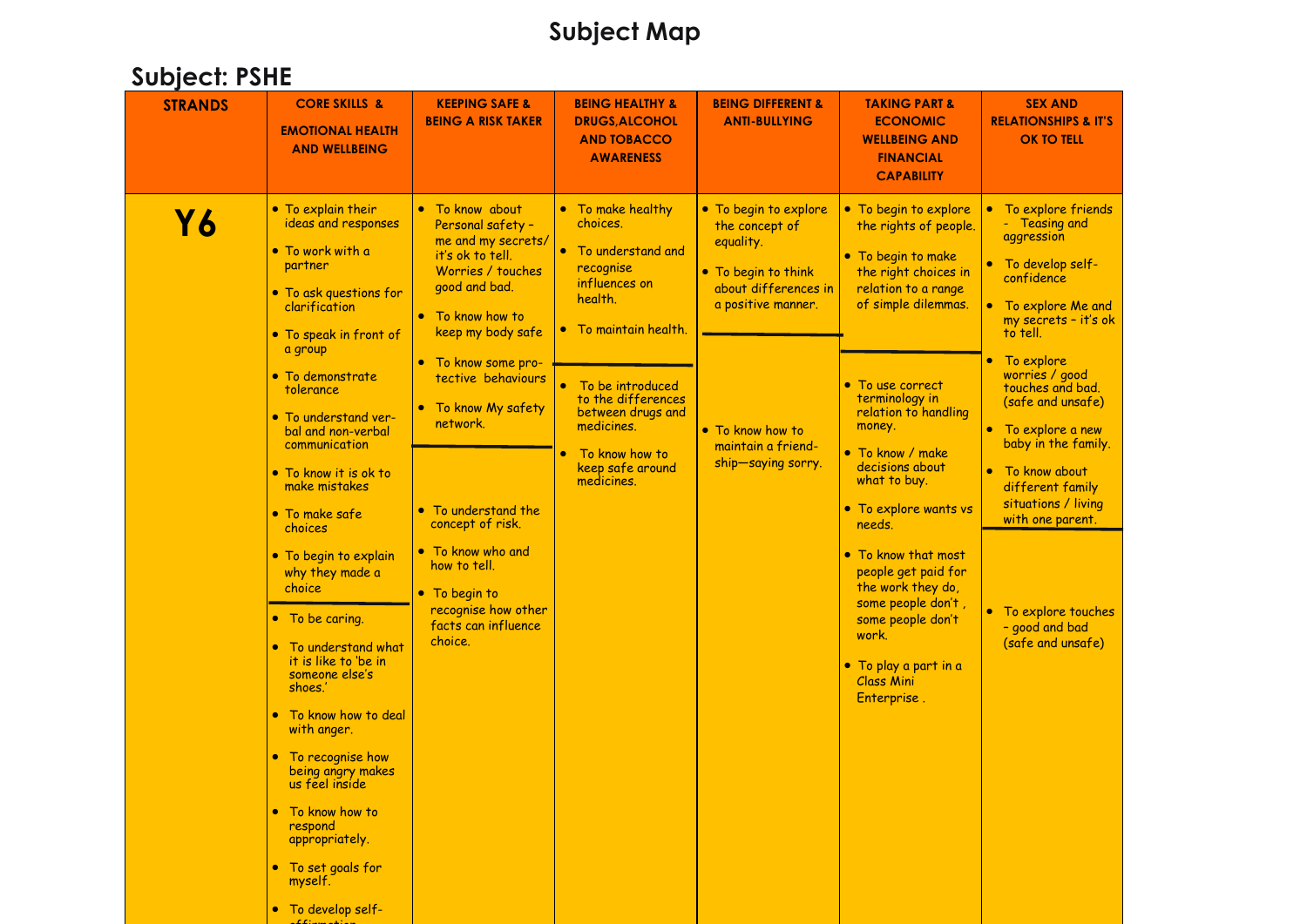| <b>STRANDS</b> | <b>CORE SKILLS &amp;</b><br><b>EMOTIONAL HEALTH</b><br><b>AND WELLBEING</b>                                                                                                                                                                                                                                                                                                                                                                                                                                                              | <b>KEEPING SAFE &amp;</b><br><b>BEING A RISK TAKER</b>                                                                                                                                                                               | <b>BEING HEALTHY &amp;</b><br><b>DRUGS, ALCOHOL</b><br><b>AND TOBACCO</b><br><b>AWARENESS</b>                                 | <b>BEING DIFFERENT &amp;</b><br><b>ANTI-BULLYING</b>                                                                      | <b>TAKING PART &amp;</b><br><b>ECONOMIC</b><br><b>WELLBEING AND</b><br><b>FINANCIAL</b><br><b>CAPABILITY</b>                                                                                                                                                                                                                                       | <b>SEX AND</b><br><b>RELATIONSHIPS &amp; IT'S</b><br><b>OK TO TELL</b>                                                                                                                                                                                                |
|----------------|------------------------------------------------------------------------------------------------------------------------------------------------------------------------------------------------------------------------------------------------------------------------------------------------------------------------------------------------------------------------------------------------------------------------------------------------------------------------------------------------------------------------------------------|--------------------------------------------------------------------------------------------------------------------------------------------------------------------------------------------------------------------------------------|-------------------------------------------------------------------------------------------------------------------------------|---------------------------------------------------------------------------------------------------------------------------|----------------------------------------------------------------------------------------------------------------------------------------------------------------------------------------------------------------------------------------------------------------------------------------------------------------------------------------------------|-----------------------------------------------------------------------------------------------------------------------------------------------------------------------------------------------------------------------------------------------------------------------|
| <b>Y6</b>      | • To explain their<br>ideas and responses<br>• To work with a<br>partner<br>• To ask questions for<br>clarification<br>• To speak in front of                                                                                                                                                                                                                                                                                                                                                                                            | • To know about<br>Personal safety -<br>me and my secrets/<br>it's ok to tell.<br>Worries / touches<br>good and bad.<br>• To know how to<br>keep my body safe                                                                        | • To make healthy<br>choices.<br>• To understand and<br>recognise<br>influences on<br>health.<br>• To maintain health.        | • To begin to explore<br>the concept of<br>equality.<br>• To begin to think<br>about differences in<br>a positive manner. | • To begin to explore<br>the rights of people.<br>• To begin to make<br>the right choices in<br>relation to a range<br>of simple dilemmas.                                                                                                                                                                                                         | To explore friends<br>$\bullet$<br>Teasing and<br>aggression<br>To develop self-<br>$\bullet$<br>confidence<br>To explore Me and<br>$\bullet$<br>my secrets - it's ok<br>to tell.                                                                                     |
|                | a group<br>$\bullet$ To demonstrate<br>tolerance<br>• To understand ver-<br>bal and non-verbal<br>communication<br>• To know it is ok to<br>make mistakes<br>• To make safe<br>choices<br>• To begin to explain<br>why they made a<br>choice<br>• To be caring.<br>To understand what<br>it is like to 'be in<br>someone else's<br>shoes.'<br>To know how to deal<br>$\bullet$<br>with anger.<br>To recognise how<br>being angry makes<br>us teel inside<br>To know how to<br>respond<br>appropriately.<br>• To set goals for<br>myself. | • To know some pro-<br>tective behaviours<br>• To know My safety<br>network.<br>• To understand the<br>concept of risk.<br>To know who and<br>how to tell.<br>• To begin to<br>recognise how other<br>facts can influence<br>choice. | To be introduced<br>to the differences<br>between drugs and<br>medicines.<br>To know how to<br>keep safe around<br>medicines. | • To know how to<br>maintain a friend-<br>ship-saying sorry.                                                              | • To use correct<br>terminology in<br>relation to handling<br>money.<br>• To know / make<br>decisions about<br>what to buy.<br>• To explore wants vs<br>needs.<br>• To know that most<br>people get paid for<br>the work they do,<br>some people don't,<br>some people don't<br>work.<br>• To play a part in a<br><b>Class Mini</b><br>Enterprise. | • To explore<br>worries / good<br>touches and bad.<br>(safe and unsafe)<br>• To explore a new<br>baby in the family.<br>• To know about<br>different family<br>situations / living<br>with one parent.<br>• To explore touches<br>- good and bad<br>(safe and unsafe) |
|                | • To develop self-                                                                                                                                                                                                                                                                                                                                                                                                                                                                                                                       |                                                                                                                                                                                                                                      |                                                                                                                               |                                                                                                                           |                                                                                                                                                                                                                                                                                                                                                    |                                                                                                                                                                                                                                                                       |